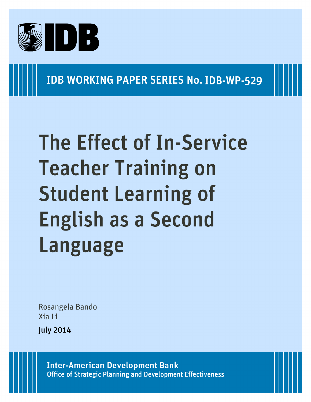

**IDB WORKING PAPER SERIES No. IDB-WP-529** 

# **The Effect of In-Service Teacher Training on Student Learning of English as a Second Language**

Rosangela Bando Xia Ii

**July 2014** 

**Inter-American Development Bank Office of Strategic Planning and Development Effectiveness**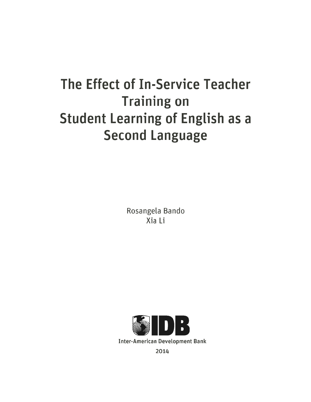## The Effect of In-Service Teacher **Training on Student Learning of English as a Second Language**

Rosangela Bando Xia Li



2014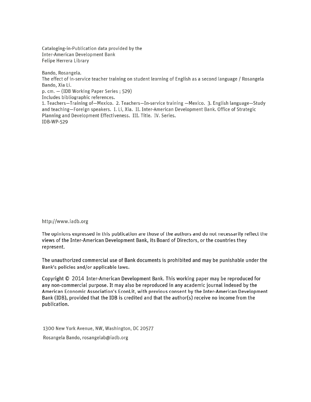Cataloging-in-Publication data provided by the **Inter-American Development Bank** Felipe Herrera Library

Bando, Rosangela.

The effect of in-service teacher training on student learning of English as a second language / Rosangela Bando, Xia Li.

p. cm. - (IDB Working Paper Series; 529)

Includes bibliographic references.

1. Teachers-Training of-Mexico. 2. Teachers-In-service training -Mexico. 3. English language-Study and teaching-Foreign speakers. I. Li, Xia. II. Inter-American Development Bank. Office of Strategic Planning and Development Effectiveness. III. Title. IV. Series. IDB-WP-529

http://www.iadb.org

The opinions expressed in this publication are those of the authors and do not necessarily reflect the views of the Inter-American Development Bank, its Board of Directors, or the countries they represent.

The unauthorized commercial use of Bank documents is prohibited and may be punishable under the Bank's policies and/or applicable laws.

Copyright © 2014 Inter-American Development Bank. This working paper may be reproduced for any non-commercial purpose. It may also be reproduced in any academic journal indexed by the American Economic Association's EconLit, with previous consent by the Inter-American Development Bank (IDB), provided that the IDB is credited and that the author(s) receive no income from the publication.

1300 New York Avenue, NW, Washington, DC 20577 Rosangela Bando, rosangelab@iadb.org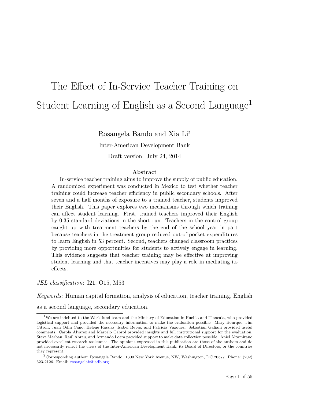## The Effect of In-Service Teacher Training on Student Learning of English as a Second Language<sup>1</sup>

Rosangela Bando and Xia Li2

Inter-American Development Bank

Draft version: July 24, 2014

#### **Abstract**

In-service teacher training aims to improve the supply of public education. A randomized experiment was conducted in Mexico to test whether teacher training could increase teacher efficiency in public secondary schools. After seven and a half months of exposure to a trained teacher, students improved their English. This paper explores two mechanisms through which training can affect student learning. First, trained teachers improved their English by 0.35 standard deviations in the short run. Teachers in the control group caught up with treatment teachers by the end of the school year in part because teachers in the treatment group reduced out-of-pocket expenditures to learn English in 53 percent. Second, teachers changed classroom practices by providing more opportunities for students to actively engage in learning. This evidence suggests that teacher training may be effective at improving student learning and that teacher incentives may play a role in mediating its effects.

*JEL classification*: I21, O15, M53

*Keywords*: Human capital formation, analysis of education, teacher training, English

as a second language, secondary education.

 $1$ We are indebted to the Worldfund team and the Ministry of Education in Puebla and Tlaxcala, who provided logistical support and provided the necessary information to make the evaluation possible: Mary Bourque, Jim Citron, Juan Odín Cano, Helene Rassias, Isabel Reyes, and Patricia Vazquez. Sebastián Galiani provided useful comments. Carola Alvarez and Marcelo Cabrol provided insights and full institutional support for the evaluation. Steve Marban, Raúl Abreu, and Armando Loera provided support to make data collection possible. Aniel Altamirano provided excellent research assistance. The opinions expressed in this publication are those of the authors and do not necessarily reflect the views of the Inter-American Development Bank, its Board of Directors, or the countries they represent.

<sup>2</sup>Corresponding author: Rosangela Bando. 1300 New York Avenue, NW, Washington, DC 20577. Phone: (202) 623-2126. Email: [rosangelab@iadb.org](mailto:rosangelab@iadb.org)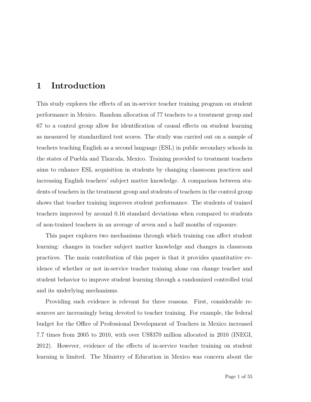## **1 Introduction**

This study explores the effects of an in-service teacher training program on student performance in Mexico. Random allocation of 77 teachers to a treatment group and 67 to a control group allow for identification of causal effects on student learning as measured by standardized test scores. The study was carried out on a sample of teachers teaching English as a second language (ESL) in public secondary schools in the states of Puebla and Tlaxcala, Mexico. Training provided to treatment teachers aims to enhance ESL acquisition in students by changing classroom practices and increasing English teachers' subject matter knowledge. A comparison between students of teachers in the treatment group and students of teachers in the control group shows that teacher training improves student performance. The students of trained teachers improved by around 0.16 standard deviations when compared to students of non-trained teachers in an average of seven and a half months of exposure.

This paper explores two mechanisms through which training can affect student learning: changes in teacher subject matter knowledge and changes in classroom practices. The main contribution of this paper is that it provides quantitative evidence of whether or not in-service teacher training alone can change teacher and student behavior to improve student learning through a randomized controlled trial and its underlying mechanisms.

Providing such evidence is relevant for three reasons. First, considerable resources are increasingly being devoted to teacher training. For example, the federal budget for the Office of Professional Development of Teachers in Mexico increased 7.7 times from 2005 to 2010, with over US\$370 million allocated in 2010 (INEGI, 2012). However, evidence of the effects of in-service teacher training on student learning is limited. The Ministry of Education in Mexico was concern about the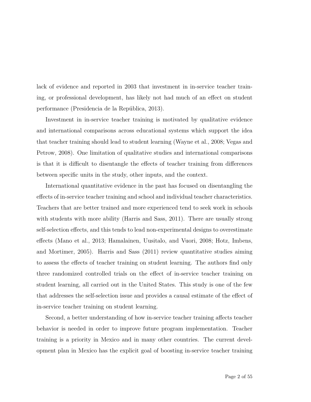lack of evidence and reported in 2003 that investment in in-service teacher training, or professional development, has likely not had much of an effect on student performance (Presidencia de la República, 2013).

Investment in in-service teacher training is motivated by qualitative evidence and international comparisons across educational systems which support the idea that teacher training should lead to student learning [\(Wayne et al.,](#page-45-0) [2008;](#page-45-0) Vegas and Petrow, 2008). One limitation of qualitative studies and international comparisons is that it is difficult to disentangle the effects of teacher training from differences between specific units in the study, other inputs, and the context.

International quantitative evidence in the past has focused on disentangling the effects of in-service teacher training and school and individual teacher characteristics. Teachers that are better trained and more experienced tend to seek work in schools with students with more ability (Harris and Sass, 2011). There are usually strong self-selection effects, and this tends to lead non-experimental designs to overestimate effects (Mano et al., 2013; Hamalainen, Uusitalo, and Vuori, 2008; Hotz, Imbens, and Mortimer, 2005). Harris and Sass (2011) review quantitative studies aiming to assess the effects of teacher training on student learning. The authors find only three randomized controlled trials on the effect of in-service teacher training on student learning, all carried out in the United States. This study is one of the few that addresses the self-selection issue and provides a causal estimate of the effect of in-service teacher training on student learning.

Second, a better understanding of how in-service teacher training affects teacher behavior is needed in order to improve future program implementation. Teacher training is a priority in Mexico and in many other countries. The current development plan in Mexico has the explicit goal of boosting in-service teacher training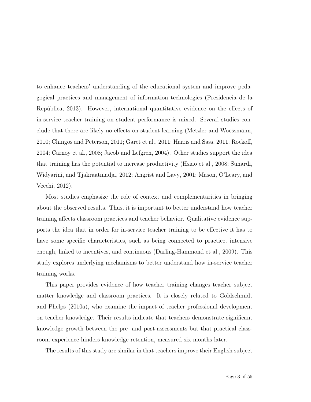to enhance teachers' understanding of the educational system and improve pedagogical practices and management of information technologies (Presidencia de la República, 2013). However, international quantitative evidence on the effects of in-service teacher training on student performance is mixed. Several studies conclude that there are likely no effects on student learning (Metzler and Woessmann, 2010; Chingos and Peterson, 2011; [Garet et al.,](#page-41-0) [2011;](#page-41-0) Harris and Sass, 2011; Rockoff, 2004; Carnoy et al., 2008; Jacob and Lefgren, 2004). Other studies support the idea that training has the potential to increase productivity (Hsiao et al., 2008; [Sunardi,](#page-44-0) [Widyarini, and Tjakraatmadja,](#page-44-0) [2012;](#page-44-0) Angrist and Lavy, 2001; Mason, O'Leary, and Vecchi, 2012).

Most studies emphasize the role of context and complementarities in bringing about the observed results. Thus, it is important to better understand how teacher training affects classroom practices and teacher behavior. Qualitative evidence supports the idea that in order for in-service teacher training to be effective it has to have some specific characteristics, such as being connected to practice, intensive enough, linked to incentives, and continuous (Darling-Hammond et al., 2009). This study explores underlying mechanisms to better understand how in-service teacher training works.

This paper provides evidence of how teacher training changes teacher subject matter knowledge and classroom practices. It is closely related to Goldschmidt and Phelps (2010a), who examine the impact of teacher professional development on teacher knowledge. Their results indicate that teachers demonstrate significant knowledge growth between the pre- and post-assessments but that practical classroom experience hinders knowledge retention, measured six months later.

The results of this study are similar in that teachers improve their English subject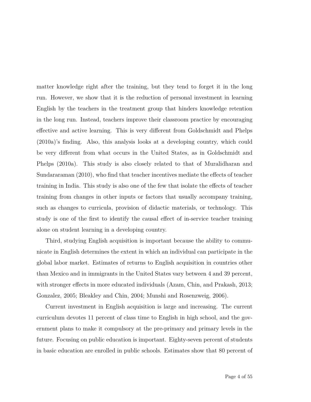matter knowledge right after the training, but they tend to forget it in the long run. However, we show that it is the reduction of personal investment in learning English by the teachers in the treatment group that hinders knowledge retention in the long run. Instead, teachers improve their classroom practice by encouraging effective and active learning. This is very different from Goldschmidt and Phelps (2010a)'s finding. Also, this analysis looks at a developing country, which could be very different from what occurs in the United States, as in Goldschmidt and Phelps (2010a). This study is also closely related to that of Muralidharan and Sundararaman (2010), who find that teacher incentives mediate the effects of teacher training in India. This study is also one of the few that isolate the effects of teacher training from changes in other inputs or factors that usually accompany training, such as changes to curricula, provision of didactic materials, or technology. This study is one of the first to identify the causal effect of in-service teacher training alone on student learning in a developing country.

Third, studying English acquisition is important because the ability to communicate in English determines the extent in which an individual can participate in the global labor market. Estimates of returns to English acquisition in countries other than Mexico and in immigrants in the United States vary between 4 and 39 percent, with stronger effects in more educated individuals (Azam, Chin, and Prakash, 2013; Gonzalez, 2005; Bleakley and Chin, 2004; Munshi and Rosenzweig, 2006).

Current investment in English acquisition is large and increasing. The current curriculum devotes 11 percent of class time to English in high school, and the government plans to make it compulsory at the pre-primary and primary levels in the future. Focusing on public education is important. Eighty-seven percent of students in basic education are enrolled in public schools. Estimates show that 80 percent of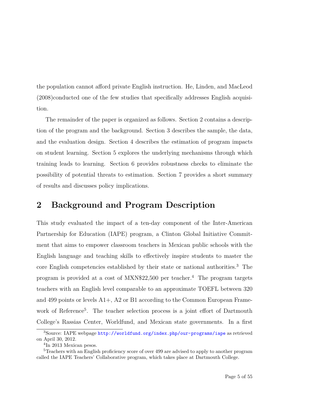the population cannot afford private English instruction. He, Linden, and MacLeod (2008)conducted one of the few studies that specifically addresses English acquisition.

The remainder of the paper is organized as follows. Section 2 contains a description of the program and the background. Section 3 describes the sample, the data, and the evaluation design. Section 4 describes the estimation of program impacts on student learning. Section 5 explores the underlying mechanisms through which training leads to learning. Section 6 provides robustness checks to eliminate the possibility of potential threats to estimation. Section 7 provides a short summary of results and discusses policy implications.

## **2 Background and Program Description**

This study evaluated the impact of a ten-day component of the Inter-American Partnership for Education (IAPE) program, a Clinton Global Initiative Commitment that aims to empower classroom teachers in Mexican public schools with the English language and teaching skills to effectively inspire students to master the core English competencies established by their state or national authorities.3 The program is provided at a cost of  $\text{MXN$22,500}$  per teacher.<sup>4</sup> The program targets teachers with an English level comparable to an approximate TOEFL between 320 and 499 points or levels A1+, A2 or B1 according to the Common European Framework of Reference<sup>5</sup>. The teacher selection process is a joint effort of Dartmouth College's Rassias Center, Worldfund, and Mexican state governments. In a first

<sup>3</sup>Source: IAPE webpage <http://worldfund.org/index.php/our-programs/iape> as retrieved on April 30, 2012.

<sup>4</sup> In 2013 Mexican pesos.

<sup>&</sup>lt;sup>5</sup>Teachers with an English proficiency score of over 499 are advised to apply to another program called the IAPE Teachers' Collaborative program, which takes place at Dartmouth College.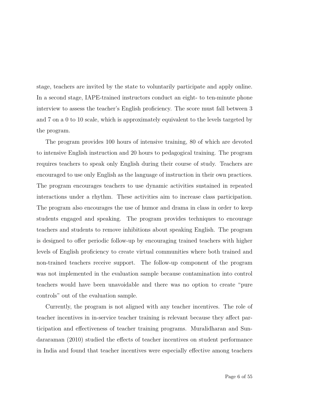stage, teachers are invited by the state to voluntarily participate and apply online. In a second stage, IAPE-trained instructors conduct an eight- to ten-minute phone interview to assess the teacher's English proficiency. The score must fall between 3 and 7 on a 0 to 10 scale, which is approximately equivalent to the levels targeted by the program.

The program provides 100 hours of intensive training, 80 of which are devoted to intensive English instruction and 20 hours to pedagogical training. The program requires teachers to speak only English during their course of study. Teachers are encouraged to use only English as the language of instruction in their own practices. The program encourages teachers to use dynamic activities sustained in repeated interactions under a rhythm. These activities aim to increase class participation. The program also encourages the use of humor and drama in class in order to keep students engaged and speaking. The program provides techniques to encourage teachers and students to remove inhibitions about speaking English. The program is designed to offer periodic follow-up by encouraging trained teachers with higher levels of English proficiency to create virtual communities where both trained and non-trained teachers receive support. The follow-up component of the program was not implemented in the evaluation sample because contamination into control teachers would have been unavoidable and there was no option to create "pure controls" out of the evaluation sample.

Currently, the program is not aligned with any teacher incentives. The role of teacher incentives in in-service teacher training is relevant because they affect participation and effectiveness of teacher training programs. Muralidharan and Sundararaman (2010) studied the effects of teacher incentives on student performance in India and found that teacher incentives were especially effective among teachers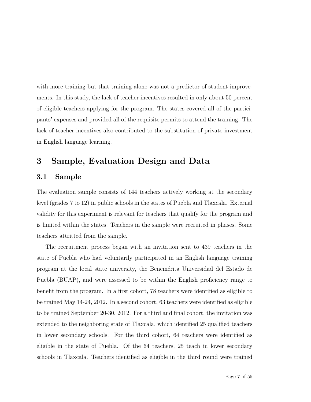with more training but that training alone was not a predictor of student improvements. In this study, the lack of teacher incentives resulted in only about 50 percent of eligible teachers applying for the program. The states covered all of the participants' expenses and provided all of the requisite permits to attend the training. The lack of teacher incentives also contributed to the substitution of private investment in English language learning.

### **3 Sample, Evaluation Design and Data**

#### **3.1 Sample**

The evaluation sample consists of 144 teachers actively working at the secondary level (grades 7 to 12) in public schools in the states of Puebla and Tlaxcala. External validity for this experiment is relevant for teachers that qualify for the program and is limited within the states. Teachers in the sample were recruited in phases. Some teachers attritted from the sample.

The recruitment process began with an invitation sent to 439 teachers in the state of Puebla who had voluntarily participated in an English language training program at the local state university, the Benemérita Universidad del Estado de Puebla (BUAP), and were assessed to be within the English proficiency range to benefit from the program. In a first cohort, 78 teachers were identified as eligible to be trained May 14-24, 2012. In a second cohort, 63 teachers were identified as eligible to be trained September 20-30, 2012. For a third and final cohort, the invitation was extended to the neighboring state of Tlaxcala, which identified 25 qualified teachers in lower secondary schools. For the third cohort, 64 teachers were identified as eligible in the state of Puebla. Of the 64 teachers, 25 teach in lower secondary schools in Tlaxcala. Teachers identified as eligible in the third round were trained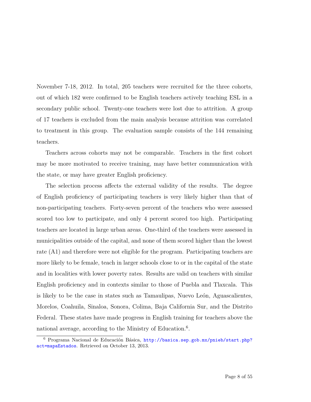November 7-18, 2012. In total, 205 teachers were recruited for the three cohorts, out of which 182 were confirmed to be English teachers actively teaching ESL in a secondary public school. Twenty-one teachers were lost due to attrition. A group of 17 teachers is excluded from the main analysis because attrition was correlated to treatment in this group. The evaluation sample consists of the 144 remaining teachers.

Teachers across cohorts may not be comparable. Teachers in the first cohort may be more motivated to receive training, may have better communication with the state, or may have greater English proficiency.

The selection process affects the external validity of the results. The degree of English proficiency of participating teachers is very likely higher than that of non-participating teachers. Forty-seven percent of the teachers who were assessed scored too low to participate, and only 4 percent scored too high. Participating teachers are located in large urban areas. One-third of the teachers were assessed in municipalities outside of the capital, and none of them scored higher than the lowest rate (A1) and therefore were not eligible for the program. Participating teachers are more likely to be female, teach in larger schools close to or in the capital of the state and in localities with lower poverty rates. Results are valid on teachers with similar English proficiency and in contexts similar to those of Puebla and Tlaxcala. This is likely to be the case in states such as Tamaulipas, Nuevo León, Aguascalientes, Morelos, Coahuila, Sinaloa, Sonora, Colima, Baja California Sur, and the Distrito Federal. These states have made progress in English training for teachers above the national average, according to the Ministry of Education.<sup>6</sup>.

<sup>6</sup> Programa Nacional de Educación Básica, [http://basica.sep.gob.mx/pnieb/start.php?](http://basica.sep.gob.mx/pnieb/start.php?act=mapaEstados) [act=mapaEstados](http://basica.sep.gob.mx/pnieb/start.php?act=mapaEstados). Retrieved on October 13, 2013.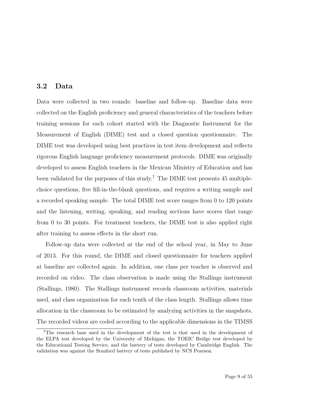#### **3.2 Data**

Data were collected in two rounds: baseline and follow-up. Baseline data were collected on the English proficiency and general characteristics of the teachers before training sessions for each cohort started with the Diagnostic Instrument for the Measurement of English (DIME) test and a closed question questionnaire. The DIME test was developed using best practices in test item development and reflects rigorous English language proficiency measurement protocols. DIME was originally developed to assess English teachers in the Mexican Ministry of Education and has been validated for the purposes of this study.<sup>7</sup> The DIME test presents 45 multiplechoice questions, five fill-in-the-blank questions, and requires a writing sample and a recorded speaking sample. The total DIME test score ranges from 0 to 120 points and the listening, writing, speaking, and reading sections have scores that range from 0 to 30 points. For treatment teachers, the DIME test is also applied right after training to assess effects in the short run.

Follow-up data were collected at the end of the school year, in May to June of 2013. For this round, the DIME and closed questionnaire for teachers applied at baseline are collected again. In addition, one class per teacher is observed and recorded on video. The class observation is made using the Stallings instrument (Stallings, 1980). The Stallings instrument records classroom activities, materials used, and class organization for each tenth of the class length. Stallings allows time allocation in the classroom to be estimated by analyzing activities in the snapshots. The recorded videos are coded according to the applicable dimensions in the TIMSS

<sup>7</sup>The research base used in the development of the test is that used in the development of the ELPA test developed by the University of Michigan, the TOEIC Bridge test developed by the Educational Testing Service, and the battery of tests developed by Cambridge English. The validation was against the Stanford battery of tests published by NCS Pearson.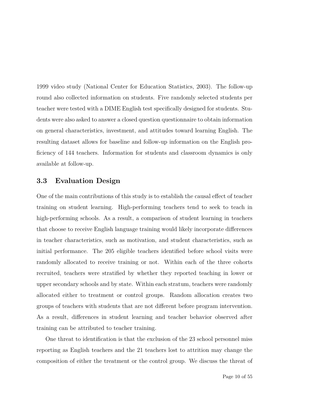1999 video study [\(National Center for Education Statistics,](#page-43-0) [2003\)](#page-43-0). The follow-up round also collected information on students. Five randomly selected students per teacher were tested with a DIME English test specifically designed for students. Students were also asked to answer a closed question questionnaire to obtain information on general characteristics, investment, and attitudes toward learning English. The resulting dataset allows for baseline and follow-up information on the English proficiency of 144 teachers. Information for students and classroom dynamics is only available at follow-up.

#### **3.3 Evaluation Design**

One of the main contributions of this study is to establish the causal effect of teacher training on student learning. High-performing teachers tend to seek to teach in high-performing schools. As a result, a comparison of student learning in teachers that choose to receive English language training would likely incorporate differences in teacher characteristics, such as motivation, and student characteristics, such as initial performance. The 205 eligible teachers identified before school visits were randomly allocated to receive training or not. Within each of the three cohorts recruited, teachers were stratified by whether they reported teaching in lower or upper secondary schools and by state. Within each stratum, teachers were randomly allocated either to treatment or control groups. Random allocation creates two groups of teachers with students that are not different before program intervention. As a result, differences in student learning and teacher behavior observed after training can be attributed to teacher training.

One threat to identification is that the exclusion of the 23 school personnel miss reporting as English teachers and the 21 teachers lost to attrition may change the composition of either the treatment or the control group. We discuss the threat of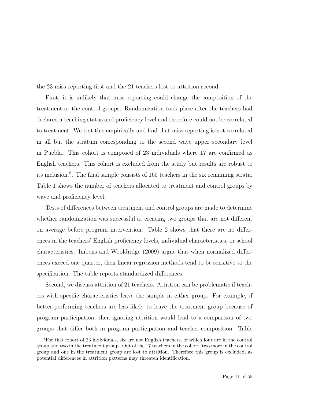the 23 miss reporting first and the 21 teachers lost to attrition second.

First, it is unlikely that miss reporting could change the composition of the treatment or the control groups. Randomization took place after the teachers had declared a teaching status and proficiency level and therefore could not be correlated to treatment. We test this empirically and find that miss reporting is not correlated in all but the stratum corresponding to the second wave upper secondary level in Puebla. This cohort is composed of 23 individuals where 17 are confirmed as English teachers. This cohort is excluded from the study but results are robust to its inclusion.8 . The final sample consists of 165 teachers in the six remaining strata. Table 1 shows the number of teachers allocated to treatment and control groups by wave and proficiency level.

Tests of differences between treatment and control groups are made to determine whether randomization was successful at creating two groups that are not different on average before program intervention. Table 2 shows that there are no differences in the teachers' English proficiency levels, individual characteristics, or school characteristics. Imbens and Wooldridge (2009) argue that when normalized differences exceed one quarter, then linear regression methods tend to be sensitive to the specification. The table reports standardized differences.

Second, we discuss attrition of 21 teachers. Attrition can be problematic if teachers with specific characteristics leave the sample in either group. For example, if better-performing teachers are less likely to leave the treatment group because of program participation, then ignoring attrition would lead to a comparison of two groups that differ both in program participation and teacher composition. Table

<sup>8</sup>For this cohort of 23 individuals, six are not English teachers, of which four are in the control group and two in the treatment group. Out of the 17 teachers in the cohort, two more in the control group and one in the treatment group are lost to attrition. Therefore this group is excluded, as potential differences in attrition patterns may threaten identification.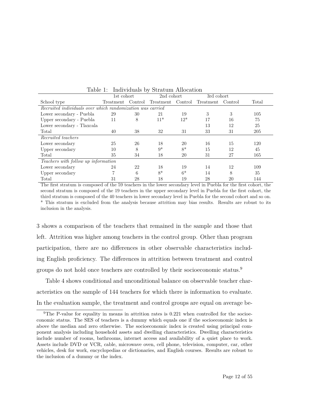| $\frac{1}{2}$<br>$\sim$ 0.2 coordinated at $\sim$ 0.000 coordinates |            |         |            |         |            |         |       |  |  |
|---------------------------------------------------------------------|------------|---------|------------|---------|------------|---------|-------|--|--|
|                                                                     | 1st cohort |         | 2nd cohort |         | 3rd cohort |         |       |  |  |
| School type                                                         | Treatment  | Control | Treatment  | Control | Treatment  | Control | Total |  |  |
| Recruited individuals over which randomization was carried          |            |         |            |         |            |         |       |  |  |
| Lower secondary - Puebla                                            | 29         | 30      | 21         | 19      | 3          | 3       | 105   |  |  |
| Upper secondary - Puebla                                            | 11         | 8       | $11*$      | $12*$   | 17         | 16      | 75    |  |  |
| Lower secondary - Tlaxcala                                          |            |         |            |         | 13         | 12      | 25    |  |  |
| Total                                                               | 40         | 38      | 32         | 31      | 33         | 31      | 205   |  |  |
| Recruited teachers                                                  |            |         |            |         |            |         |       |  |  |
| Lower secondary                                                     | 25         | 26      | 18         | 20      | 16         | 15      | 120   |  |  |
| Upper secondary                                                     | 10         | 8       | $9*$       | $8*$    | 15         | 12      | 45    |  |  |
| Total                                                               | 35         | 34      | 18         | 20      | 31         | 27      | 165   |  |  |
| Teachers with follow up information                                 |            |         |            |         |            |         |       |  |  |
| Lower secondary                                                     | 24         | 22      | 18         | 19      | 14         | 12      | 109   |  |  |
| Upper secondary                                                     |            | 6       | $8*$       | $6*$    | 14         | 8       | 35    |  |  |
| Total                                                               | 31         | 28      | 18         | 19      | 28         | 20      | 144   |  |  |

Table 1: Individuals by Stratum Allocation

The first stratum is composed of the 59 teachers in the lower secondary level in Puebla for the first cohort, the second stratum is composed of the 19 teachers in the upper secondary level in Puebla for the first cohort, the third stratum is composed of the 40 teachers in lower secondary level in Puebla for the second cohort and so on. \* This stratum is excluded from the analysis because attrition may bias results. Results are robust to its inclusion in the analysis.

[3](#page-17-0) shows a comparison of the teachers that remained in the sample and those that left. Attrition was higher among teachers in the control group. Other than program participation, there are no differences in other observable characteristics including English proficiency. The differences in attrition between treatment and control groups do not hold once teachers are controlled by their socioeconomic status.9

Table [4](#page-19-0) shows conditional and unconditional balance on observable teacher characteristics on the sample of 144 teachers for which there is information to evaluate. In the evaluation sample, the treatment and control groups are equal on average be-

<sup>&</sup>lt;sup>9</sup>The P-value for equality in means in attrition rates is 0.221 when controlled for the socioeconomic status. The SES of teachers is a dummy which equals one if the socioeconomic index is above the median and zero otherwise. The socioeconomic index is created using principal component analysis including household assets and dwelling characteristics. Dwelling characteristics include number of rooms, bathrooms, internet access and availability of a quiet place to work. Assets include DVD or VCR, cable, microwave oven, cell phone, television, computer, car, other vehicles, desk for work, encyclopedias or dictionaries, and English courses. Results are robust to the inclusion of a dummy or the index.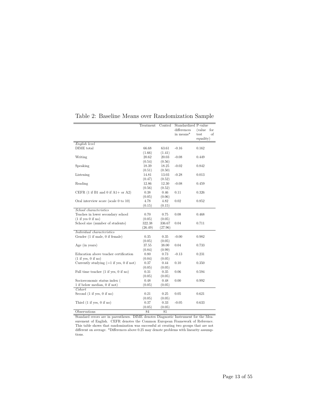|                                                                          | Treatment | Control | Standardized P-value |                |
|--------------------------------------------------------------------------|-----------|---------|----------------------|----------------|
|                                                                          |           |         | differences          | (value)<br>for |
|                                                                          |           |         | in means*            | test<br>of     |
|                                                                          |           |         |                      | equality)      |
| English level                                                            |           |         |                      |                |
| DIME total                                                               | 66.68     | 63.61   | $-0.16$              | 0.162          |
|                                                                          | (1.66)    | (1.41)  |                      |                |
| Writing                                                                  | 20.62     | 20.03   | $-0.08$              | 0.449          |
|                                                                          | (0.54)    | (0.56)  |                      |                |
| Speaking                                                                 | 18.39     | 18.25   | $-0.02$              | 0.842          |
|                                                                          | (0.51)    | (0.50)  |                      |                |
| Listening                                                                | 14.81     | 13.03   | $-0.28$              | 0.013          |
|                                                                          | (0.47)    | (0.52)  |                      |                |
| Reading                                                                  | 12.86     | 12.30   | $-0.08$              | 0.459          |
|                                                                          | (0.56)    | (0.52)  |                      |                |
| CEFR $(1 \text{ if } B1 \text{ and } 0 \text{ if } A1 + \text{ or } A2)$ | 0.38      | 0.46    | 0.11                 | 0.326          |
|                                                                          | (0.05)    | (0.06)  |                      |                |
| Oral interview score (scale $0$ to $10$ )                                | 4.78      | 4.82    | 0.02                 | 0.852          |
|                                                                          | (0.15)    | (0.15)  |                      |                |
| School characteristics                                                   |           |         |                      |                |
| Teaches in lower secondary school                                        | 0.70      | 0.75    | 0.08                 | 0.468          |
| (1 if yes 0 if no)                                                       | (0.05)    | (0.05)  |                      |                |
| School size (number of students)                                         | 322.38    | 336.67  | 0.04                 | 0.711          |
|                                                                          | (26.49)   | (27.96) |                      |                |
| Individual characteristics                                               |           |         |                      |                |
| Gender (1 if male, 0 if female)                                          | 0.35      | 0.35    | $-0.00$              | 0.982          |
|                                                                          | (0.05)    | (0.05)  |                      |                |
| Age (in years)                                                           | 37.55     | 38.00   | 0.04                 | 0.733          |
|                                                                          | (0.84)    | (0.99)  |                      |                |
| Education above teacher certification                                    | 0.80      | 0.73    | $-0.13$              | 0.231          |
| (1 if yes, 0 if no)                                                      | (0.04)    | (0.05)  |                      |                |
| Currently studying $(=1$ if yes, 0 if not)                               | 0.37      | 0.44    | 0.10                 | 0.350          |
|                                                                          | (0.05)    | (0.05)  |                      |                |
| Full time teacher (1 if yes, 0 if no)                                    | 0.31      | 0.35    | 0.06                 | 0.594          |
|                                                                          | (0.05)    | (0.05)  |                      |                |
| Socioeconomic status index (                                             | 0.48      | 0.48    | 0.00                 | 0.992          |
| 1 if below median, 0 if not)                                             | (0.05)    | (0.05)  |                      |                |
| Cohort                                                                   |           |         |                      |                |
| Second $(1$ if yes, $0$ if no)                                           | 0.21      | 0.25    | 0.05                 | 0.621          |
|                                                                          | (0.05)    | (0.05)  |                      |                |
| Third $(1 \text{ if yes}, 0 \text{ if no})$                              | 0.37      | 0.33    | $-0.05$              | 0.633          |
|                                                                          | (0.05)    | (0.05)  |                      |                |
| Observations                                                             | 84        | 81      |                      |                |

Table 2: Baseline Means over Randomization Sample

Standard errors are in parentheses. DIME denotes Diagnostic Instrument for the Measurement of English. CEFR denotes the Common European Framework of Reference. This table shows that randomization was successful at creating two groups that are not different on average. \*Differences above 0.25 may denote problems with linearity assumptions.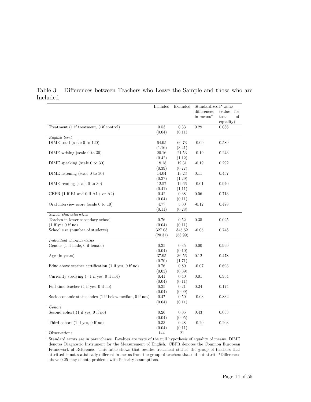<span id="page-17-0"></span>

|                                                                          | Included  | Excluded  | Standardized P-value |                |
|--------------------------------------------------------------------------|-----------|-----------|----------------------|----------------|
|                                                                          |           |           | differences          | (value)<br>for |
|                                                                          |           |           | in means*            | test<br>of     |
|                                                                          |           |           |                      | equality)      |
| Treatment (1 if treatment, 0 if control)                                 | 0.53      | 0.33      | 0.29                 | 0.086          |
|                                                                          | (0.04)    | (0.11)    |                      |                |
| English level                                                            |           |           |                      |                |
| $\text{DIME}$ total (scale 0 to 120)                                     | 64.95     | 66.73     | $-0.09$              | 0.589          |
|                                                                          | (1.16)    | (3.41)    |                      |                |
| DIME writing (scale 0 to 30)                                             | 20.16     | $21.53\,$ | $-0.19$              | 0.243          |
|                                                                          | (0.42)    | (1.12)    |                      |                |
| DIME speaking (scale 0 to 30)                                            | 18.18     | 19.31     | $-0.19$              | 0.292          |
|                                                                          | (0.39)    | (0.77)    |                      |                |
| DIME listening (scale $0$ to $30$ )                                      | 14.04     | 13.23     | 0.11                 | 0.457          |
|                                                                          | (0.37)    | (1.29)    |                      |                |
| DIME reading (scale $0$ to $30$ )                                        | 12.57     | 12.66     | $-0.01$              | 0.940          |
|                                                                          | (0.41)    | (1.11)    |                      |                |
| CEFR $(1 \text{ if } B1 \text{ and } 0 \text{ if } A1 + \text{ or } A2)$ | 0.42      | 0.38      | 0.06                 | 0.713          |
|                                                                          | (0.04)    | (0.11)    |                      |                |
| Oral interview score (scale $0$ to $10$ )                                | 4.77      | 5.00      | $-0.12$              | 0.478          |
|                                                                          | (0.11)    | (0.28)    |                      |                |
| School characteristics                                                   |           |           |                      |                |
| Teaches in lower secondary school                                        | 0.76      | 0.52      | 0.35                 | 0.025          |
| (1 if yes 0 if no)                                                       | (0.04)    | (0.11)    |                      |                |
| School size (number of students)                                         | 327.03    | 345.62    | $-0.05$              | 0.748          |
|                                                                          | (20.31)   | (58.99)   |                      |                |
| Individual characteristics                                               |           |           |                      |                |
| Gender (1 if male, 0 if female)                                          | 0.35      | 0.35      | 0.00                 | 0.999          |
|                                                                          | (0.04)    | (0.10)    |                      |                |
| Age (in years)                                                           | $37.95\,$ | 36.56     | 0.12                 | 0.478          |
|                                                                          | (0.70)    | (1.71)    |                      |                |
| Educ above teacher certification $(1 \text{ if yes}, 0 \text{ if no})$   | 0.76      | 0.80      | $-0.07$              | 0.693          |
|                                                                          | (0.03)    | (0.09)    |                      |                |
| Currently studying $(=1$ if yes, 0 if not)                               | 0.41      | 0.40      | 0.01                 | 0.934          |
|                                                                          | (0.04)    | (0.11)    |                      |                |
| Full time teacher $(1 \text{ if yes}, 0 \text{ if no})$                  | 0.35      | 0.21      | 0.24                 | 0.174          |
|                                                                          | (0.04)    | (0.09)    |                      |                |
| Socioeconomic status index (1 if below median, 0 if not)                 | 0.47      | 0.50      | $-0.03$              | 0.832          |
|                                                                          | (0.04)    | (0.11)    |                      |                |
| Cohort                                                                   |           |           |                      |                |
| Second cohort $(1 \text{ if yes}, 0 \text{ if no})$                      | 0.26      | 0.05      | 0.43                 | 0.033          |
|                                                                          | (0.04)    | (0.05)    |                      |                |
| Third cohort $(1 \text{ if yes}, 0 \text{ if no})$                       | 0.33      | 0.48      | $-0.20$              | 0.203          |
|                                                                          | (0.04)    | (0.11)    |                      |                |
| Observations                                                             | 144       | 21        |                      |                |

Table 3: Differences between Teachers who Leave the Sample and those who are Included

Standard errors are in parentheses. P-values are tests of the null hypothesis of equality of means. DIME denotes Diagnostic Instrument for the Measurement of English. CEFR denotes the Common European Framework of Reference. This table shows that besides treatment status, the group of teachers that attritted is not statistically different in means from the group of teachers that did not attrit. \*Differences above 0.25 may denote problems with linearity assumptions.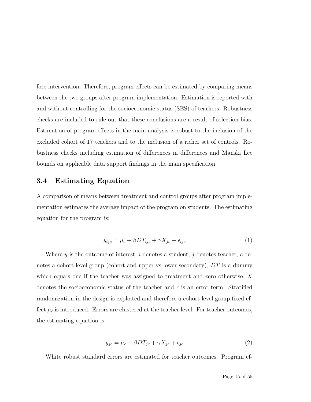fore intervention. Therefore, program effects can be estimated by comparing means between the two groups after program implementation. Estimation is reported with and without controlling for the socioeconomic status (SES) of teachers. Robustness checks are included to rule out that these conclusions are a result of selection bias. Estimation of program effects in the main analysis is robust to the inclusion of the excluded cohort of 17 teachers and to the inclusion of a richer set of controls. Robustness checks including estimation of differences in differences and Manski Lee bounds on applicable data support findings in the main specification.

#### **3.4 Estimating Equation**

A comparison of means between treatment and control groups after program implementation estimates the average impact of the program on students. The estimating equation for the program is:

$$
y_{ijc} = \mu_c + \beta DT_{ijc} + \gamma X_{jc} + \epsilon_{ijc}
$$
 (1)

Where *y* is the outcome of interest, *i* denotes a student, *j* denotes teacher, *c* denotes a cohort-level group (cohort and upper vs lower secondary), *DT* is a dummy which equals one if the teacher was assigned to treatment and zero otherwise, *X* denotes the socioeconomic status of the teacher and  $\epsilon$  is an error term. Stratified randomization in the design is exploited and therefore a cohort-level group fixed effect  $\mu_c$  is introduced. Errors are clustered at the teacher level. For teacher outcomes, the estimating equation is:

$$
y_{jc} = \mu_c + \beta DT_{jc} + \gamma X_{jc} + \epsilon_{jc}
$$
\n<sup>(2)</sup>

White robust standard errors are estimated for teacher outcomes. Program ef-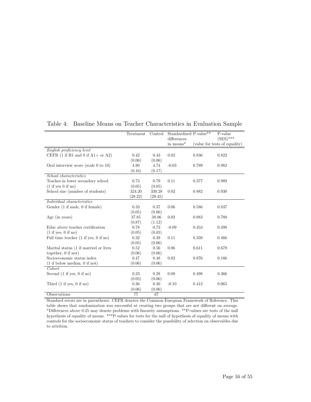|                                                                          | Treatment | Control | Standardized P-value** |       | P-value                       |
|--------------------------------------------------------------------------|-----------|---------|------------------------|-------|-------------------------------|
|                                                                          |           |         | differences            |       | $(SES)$ ***                   |
|                                                                          |           |         | in means*              |       | (value for tests of equality) |
| English proficiency level                                                |           |         |                        |       |                               |
| CEFR $(1 \text{ if } B1 \text{ and } 0 \text{ if } A1 + \text{ or } A2)$ | 0.42      | 0.43    | 0.02                   | 0.836 | 0.822                         |
|                                                                          | (0.06)    | (0.06)  |                        |       |                               |
| Oral interview score (scale 0 to $10$ )                                  | 4.80      | 4.74    | $-0.03$                | 0.789 | 0.982                         |
|                                                                          | (0.16)    | (0.17)  |                        |       |                               |
| School characteristics                                                   |           |         |                        |       |                               |
| Teaches in lower secondary school                                        | 0.73      | 0.79    | 0.11                   | 0.377 | 0.989                         |
| (1 if yes 0 if no)                                                       | (0.05)    | (0.05)  |                        |       |                               |
| School size (number of students)                                         | 324.20    | 330.28  | 0.02                   | 0.882 | 0.930                         |
|                                                                          | (28.22)   | (29.45) |                        |       |                               |
| Individual characteristics                                               |           |         |                        |       |                               |
| Gender (1 if male, 0 if female)                                          | 0.33      | 0.37    | 0.06                   | 0.586 | 0.837                         |
|                                                                          | (0.05)    | (0.06)  |                        |       |                               |
| Age (in years)                                                           | 37.85     | 38.06   | 0.02                   | 0.883 | 0.780                         |
|                                                                          | (0.87)    | (1.12)  |                        |       |                               |
| Educ above teacher certification                                         | 0.78      | 0.73    | $-0.09$                | 0.453 | 0.498                         |
| (1 if yes, 0 if no)                                                      | (0.05)    | (0.05)  |                        |       |                               |
| Full time teacher $(1 \text{ if yes}, 0 \text{ if no})$                  | 0.32      | 0.39    | 0.11                   | 0.338 | 0.466                         |
|                                                                          | (0.05)    | (0.06)  |                        |       |                               |
| Marital status (1 if married or lives                                    | 0.52      | 0.56    | 0.06                   | 0.611 | 0.679                         |
| together, $0$ if not)                                                    | (0.06)    | (0.06)  |                        |       |                               |
| Socioeconomic status index                                               | 0.47      | 0.48    | 0.02                   | 0.876 | 0.186                         |
| $(1$ if below median, 0 if not)                                          | (0.06)    | (0.06)  |                        |       |                               |
| Cohort                                                                   |           |         |                        |       |                               |
| Second $(1$ if yes, $0$ if no)                                           | 0.23      | 0.28    | 0.08                   | 0.498 | 0.366                         |
|                                                                          | (0.05)    | (0.06)  |                        |       |                               |
| Third $(1 \text{ if yes}, 0 \text{ if no})$                              | 0.36      | 0.30    | $-0.10$                | 0.412 | 0.065                         |
|                                                                          | (0.06)    | (0.06)  |                        |       |                               |
| Observations                                                             | 77        | 67      |                        |       |                               |

<span id="page-19-0"></span>Table 4: Baseline Means on Teacher Characteristics in Evaluation Sample

Standard errors are in parentheses. CEFR denotes the Common European Framework of Reference. This table shows that randomization was successful at creating two groups that are not different on average. \*Differences above 0.25 may denote problems with linearity assumptions. \*\*P-values are tests of the null hypothesis of equality of means. \*\*\*P-values for tests for the null of hypothesis of equality of means with controls for the socioeconomic status of teachers to consider the possibility of selection on observables due to attrition.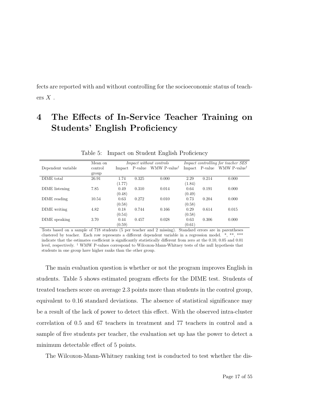fects are reported with and without controlling for the socioeconomic status of teachers  $X$ .

## **4 The Effects of In-Service Teacher Training on Students' English Proficiency**

|                    | Mean on |        |       | <i>Impact without controls</i>          |        |       | <i>Impact controlling for teacher SES</i> |
|--------------------|---------|--------|-------|-----------------------------------------|--------|-------|-------------------------------------------|
| Dependent variable | control |        |       | Impact P-value WMW P-value <sup>†</sup> | Impact |       | P-value WMW P-value <sup>†</sup>          |
|                    | group   |        |       |                                         |        |       |                                           |
| DIME total         | 26.91   | 1.74   | 0.325 | 0.000                                   | 2.29   | 0.214 | 0.000                                     |
|                    |         | (1.77) |       |                                         | (1.84) |       |                                           |
| DIME listening     | 7.85    | 0.49   | 0.310 | 0.014                                   | 0.64   | 0.191 | 0.000                                     |
|                    |         | (0.48) |       |                                         | (0.49) |       |                                           |
| DIME reading       | 10.54   | 0.63   | 0.272 | 0.010                                   | 0.73   | 0.204 | 0.000                                     |
|                    |         | (0.58) |       |                                         | (0.58) |       |                                           |
| DIME writing       | 4.82    | 0.18   | 0.744 | 0.166                                   | 0.29   | 0.614 | 0.015                                     |
|                    |         | (0.54) |       |                                         | (0.58) |       |                                           |
| DIME speaking      | 3.70    | 0.44   | 0.457 | 0.028                                   | 0.63   | 0.306 | 0.000                                     |
|                    |         | (0.59) |       |                                         | (0.61) |       |                                           |

<span id="page-20-0"></span>Table 5: Impact on Student English Proficiency

Tests based on a sample of 718 students (5 per teacher and 2 missing). Standard errors are in parentheses clustered by teacher. Each row represents a different dependent variable in a regression model. \*, \*\*, \*\*\* indicate that the estimates coefficient is significantly statistically different from zero at the 0.10, 0.05 and 0.01 level, respectively. † WMW P-values correspond to Wilcoxon-Mann-Whitney tests of the null hypothesis that students in one group have higher ranks than the other group.

The main evaluation question is whether or not the program improves English in students. Table [5](#page-20-0) shows estimated program effects for the DIME test. Students of treated teachers score on average 2.3 points more than students in the control group, equivalent to 0.16 standard deviations. The absence of statistical significance may be a result of the lack of power to detect this effect. With the observed intra-cluster correlation of 0.5 and 67 teachers in treatment and 77 teachers in control and a sample of five students per teacher, the evaluation set up has the power to detect a minimum detectable effect of 5 points.

The Wilcoxon-Mann-Whitney ranking test is conducted to test whether the dis-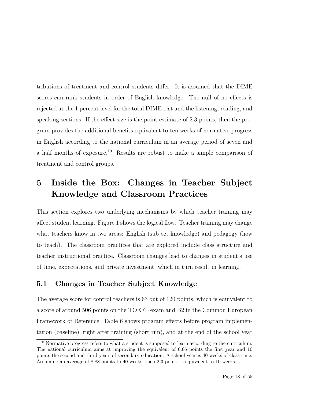tributions of treatment and control students differ. It is assumed that the DIME scores can rank students in order of English knowledge. The null of no effects is rejected at the 1 percent level for the total DIME test and the listening, reading, and speaking sections. If the effect size is the point estimate of 2.3 points, then the program provides the additional benefits equivalent to ten weeks of normative progress in English according to the national curriculum in an average period of seven and a half months of exposure.10 Results are robust to make a simple comparison of treatment and control groups.

## **5 Inside the Box: Changes in Teacher Subject Knowledge and Classroom Practices**

This section explores two underlying mechanisms by which teacher training may affect student learning. Figure 1 shows the logical flow. Teacher training may change what teachers know in two areas: English (subject knowledge) and pedagogy (how to teach). The classroom practices that are explored include class structure and teacher instructional practice. Classroom changes lead to changes in student's use of time, expectations, and private investment, which in turn result in learning.

#### **5.1 Changes in Teacher Subject Knowledge**

The average score for control teachers is 63 out of 120 points, which is equivalent to a score of around 506 points on the TOEFL exam and B2 in the Common European Framework of Reference. Table 6 shows program effects before program implementation (baseline), right after training (short run), and at the end of the school year

<sup>10</sup>Normative progress refers to what a student is supposed to learn according to the curriculum. The national curriculum aims at improving the equivalent of 6.66 points the first year and 10 points the second and third years of secondary education. A school year is 40 weeks of class time. Assuming an average of 8.88 points to 40 weeks, then 2.3 points is equivalent to 10 weeks.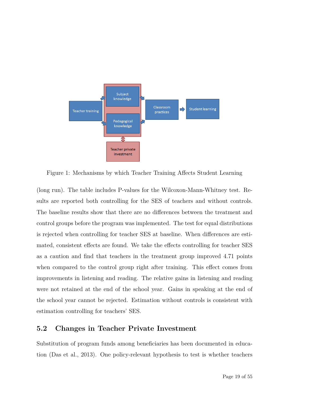

Figure 1: Mechanisms by which Teacher Training Affects Student Learning

(long run). The table includes P-values for the Wilcoxon-Mann-Whitney test. Results are reported both controlling for the SES of teachers and without controls. The baseline results show that there are no differences between the treatment and control groups before the program was implemented. The test for equal distributions is rejected when controlling for teacher SES at baseline. When differences are estimated, consistent effects are found. We take the effects controlling for teacher SES as a caution and find that teachers in the treatment group improved 4.71 points when compared to the control group right after training. This effect comes from improvements in listening and reading. The relative gains in listening and reading were not retained at the end of the school year. Gains in speaking at the end of the school year cannot be rejected. Estimation without controls is consistent with estimation controlling for teachers' SES.

#### **5.2 Changes in Teacher Private Investment**

Substitution of program funds among beneficiaries has been documented in education (Das et al., 2013). One policy-relevant hypothesis to test is whether teachers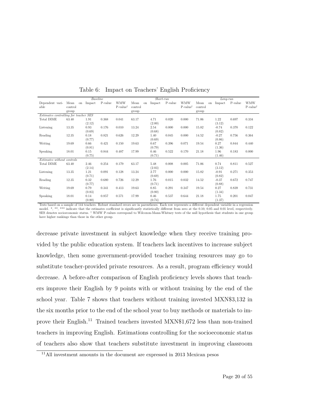|                                       |            | Baseline |         |                     |         |    | $Short-run$ |         |                     |         |    | $Long-run$ |         |                     |
|---------------------------------------|------------|----------|---------|---------------------|---------|----|-------------|---------|---------------------|---------|----|------------|---------|---------------------|
| Dependent vari-                       | Mean<br>on | Impact   | P-value | <b>WMW</b>          | Mean    | on | Impact      | P-value | <b>WMW</b>          | Mean    | on | Impact     | P-value | <b>WMW</b>          |
| able                                  | control    |          |         | $P-value^{\dagger}$ | control |    |             |         | $P-value^{\dagger}$ | control |    |            |         | $P-value^{\dagger}$ |
|                                       | group      |          |         |                     | group   |    |             |         |                     | group   |    |            |         |                     |
| Estimates controlling for teacher SES |            |          |         |                     |         |    |             |         |                     |         |    |            |         |                     |
| Total DIME                            | 63.40      | 1.91     | 0.368   | 0.041               | 63.17   |    | 4.71        | 0.020   | 0.000               | 71.06   |    | 1.22       | 0.697   | 0.334               |
|                                       |            | (2.12)   |         |                     |         |    | (2.00)      |         |                     |         |    | (3.12)     |         |                     |
| Listening                             | 13.35      | 0.93     | 0.176   | 0.010               | 13.24   |    | 2.54        | 0.000   | 0.000               | 15.82   |    | $-0.74$    | 0.370   | 0.122               |
|                                       |            | (0.69)   |         |                     |         |    | (0.68)      |         |                     |         |    | (0.82)     |         |                     |
| Reading                               | 12.35      | 0.18     | 0.821   | 0.626               | 12.29   |    | 1.40        | 0.045   | 0.000               | 14.52   |    | $-0.27$    | 0.756   | 0.364               |
|                                       |            | (0.77)   |         |                     |         |    | (0.69)      |         |                     |         |    | (0.86)     |         |                     |
| Writing                               | 19.69      | 0.66     | 0.421   | 0.150               | 19.63   |    | 0.67        | 0.396   | 0.071               | 19.54   |    | 0.27       | 0.844   | 0.440               |
|                                       |            | (0.81)   |         |                     |         |    | (0.79)      |         |                     |         |    | (1.36)     |         |                     |
| Speaking                              | 18.01      | 0.15     | 0.844   | 0.487               | 17.99   |    | 0.46        | 0.522   | 0.170               | 21.18   |    | 1.96       | 0.183   | 0.000               |
|                                       |            | (0.75)   |         |                     |         |    | (0.71)      |         |                     |         |    | (1.46)     |         |                     |
| Estimates without controls            |            |          |         |                     |         |    |             |         |                     |         |    |            |         |                     |
| Total DIME                            | 63.40      | 2.46     | 0.254   | 0.179               | 63.17   |    | 5.48        | 0.008   | 0.005               | 71.06   |    | 0.74       | 0.811   | 0.527               |
|                                       |            | (2.14)   |         |                     |         |    | (2.03)      |         |                     |         |    | (3.12)     |         |                     |
| Listening                             | 13.35      | 1.21     | 0.091   | 0.128               | 13.24   |    | 2.77        | 0.000   | 0.000               | 15.82   |    | $-0.91$    | 0.271   | 0.353               |
|                                       |            | (0.71)   |         |                     |         |    | (0.69)      |         |                     |         |    | (0.82)     |         |                     |
| Reading                               | 12.35      | $0.32\,$ | 0.680   | 0.726               | 12.29   |    | 1.76        | 0.015   | 0.032               | 14.52   |    | $-0.37$    | 0.672   | 0.747               |
|                                       |            | (0.77)   |         |                     |         |    | (0.71)      |         |                     |         |    | (0.88)     |         |                     |
| Writing                               | 19.69      | 0.79     | 0.341   | 0.413               | 19.63   |    | 0.85        | 0.291   | 0.347               | 19.54   |    | 0.27       | 0.839   | 0.731               |
|                                       |            | (0.83)   |         |                     |         |    | (0.80)      |         |                     |         |    | (1.34)     |         |                     |
| Speaking                              | 18.01      | 0.14     | 0.857   | 0.571               | 17.99   |    | 0.46        | 0.537   | 0.644               | 21.18   |    | 1.75       | 0.201   | 0.047               |
|                                       |            | (0.80)   |         |                     |         |    | (0.74)      |         |                     |         |    | (1.37)     |         |                     |

Table 6: Impact on Teachers' English Proficiency

Tests based on a sample of 144 teachers. Robust standard errors are in parentheses. Each row represents a different dependent variable in a regression model. \*, \*\*\* indicate that the estimates coefficient is significantly statistically different from zero at the 0.10, 0.05 and 0.01 level, respectively. SES denotes socioeconomic status. † WMW P-values correspond to Wilcoxon-Mann-Whitney tests of the null hypothesis that students in one group have higher rankings than those in the other group.

decrease private investment in subject knowledge when they receive training provided by the public education system. If teachers lack incentives to increase subject knowledge, then some government-provided teacher training resources may go to substitute teacher-provided private resources. As a result, program efficiency would decrease. A before-after comparison of English proficiency levels shows that teachers improve their English by 9 points with or without training by the end of the school year. Table 7 shows that teachers without training invested MXN\$3,132 in the six months prior to the end of the school year to buy methods or materials to improve their English.11 Trained teachers invested MXN\$1,672 less than non-trained teachers in improving English. Estimations controlling for the socioeconomic status of teachers also show that teachers substitute investment in improving classroom

<sup>11</sup>All investment amounts in the document are expressed in 2013 Mexican pesos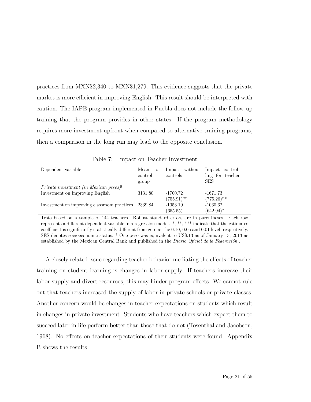practices from MXN\$2,340 to MXN\$1,279. This evidence suggests that the private market is more efficient in improving English. This result should be interpreted with caution. The IAPE program implemented in Puebla does not include the follow-up training that the program provides in other states. If the program methodology requires more investment upfront when compared to alternative training programs, then a comparison in the long run may lead to the opposite conclusion.

Table 7: Impact on Teacher Investment

| Dependent variable                                 | Mean<br><sub>on</sub> | Impact without | Impact control-  |
|----------------------------------------------------|-----------------------|----------------|------------------|
|                                                    | control               | controls       | ling for teacher |
|                                                    | group                 |                | <b>SES</b>       |
| Private investment (in Mexican pesos) <sup>†</sup> |                       |                |                  |
| Investment on improving English                    | 3131.80               | $-1700.72$     | $-1671.73$       |
|                                                    |                       | $(755.91)$ **  | $(775.26)$ **    |
| Investment on improving classroom practices        | 2339.84               | $-1053.19$     | $-1060.62$       |
|                                                    |                       | (655.55)       | $(642.94)^*$     |

Tests based on a sample of 144 teachers. Robust standard errors are in parentheses. Each row represents a different dependent variable in a regression model. \*, \*\*, \*\*\* indicate that the estimates coefficient is significantly statistically different from zero at the 0.10, 0.05 and 0.01 level, respectively. SES denotes socioeconomic status. † One peso was equivalent to US\$.13 as of January 13, 2013 as established by the Mexican Central Bank and published in the *Diario Oficial de la Federación* .

A closely related issue regarding teacher behavior mediating the effects of teacher training on student learning is changes in labor supply. If teachers increase their labor supply and divert resources, this may hinder program effects. We cannot rule out that teachers increased the supply of labor in private schools or private classes. Another concern would be changes in teacher expectations on students which result in changes in private investment. Students who have teachers which expect them to succeed later in life perform better than those that do not (Tosenthal and Jacobson, 1968). No effects on teacher expectations of their students were found. Appendix B shows the results.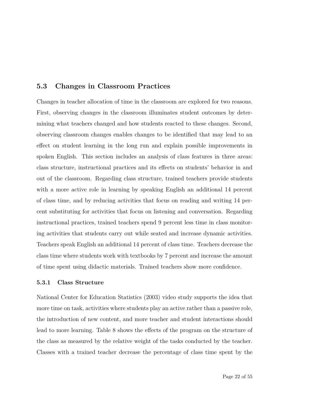#### **5.3 Changes in Classroom Practices**

Changes in teacher allocation of time in the classroom are explored for two reasons. First, observing changes in the classroom illuminates student outcomes by determining what teachers changed and how students reacted to these changes. Second, observing classroom changes enables changes to be identified that may lead to an effect on student learning in the long run and explain possible improvements in spoken English. This section includes an analysis of class features in three areas: class structure, instructional practices and its effects on students' behavior in and out of the classroom. Regarding class structure, trained teachers provide students with a more active role in learning by speaking English an additional 14 percent of class time, and by reducing activities that focus on reading and writing 14 percent substituting for activities that focus on listening and conversation. Regarding instructional practices, trained teachers spend 9 percent less time in class monitoring activities that students carry out while seated and increase dynamic activities. Teachers speak English an additional 14 percent of class time. Teachers decrease the class time where students work with textbooks by 7 percent and increase the amount of time spent using didactic materials. Trained teachers show more confidence.

#### **5.3.1 Class Structure**

[National Center for Education Statistics](#page-43-0) [\(2003\)](#page-43-0) video study supports the idea that more time on task, activities where students play an active rather than a passive role, the introduction of new content, and more teacher and student interactions should lead to more learning. Table 8 shows the effects of the program on the structure of the class as measured by the relative weight of the tasks conducted by the teacher. Classes with a trained teacher decrease the percentage of class time spent by the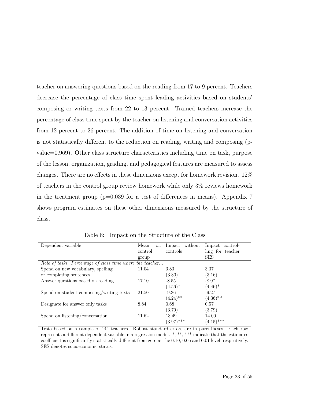teacher on answering questions based on the reading from 17 to 9 percent. Teachers decrease the percentage of class time spent leading activities based on students' composing or writing texts from 22 to 13 percent. Trained teachers increase the percentage of class time spent by the teacher on listening and conversation activities from 12 percent to 26 percent. The addition of time on listening and conversation is not statistically different to the reduction on reading, writing and composing (pvalue=0.969). Other class structure characteristics including time on task, purpose of the lesson, organization, grading, and pedagogical features are measured to assess changes. There are no effects in these dimensions except for homework revision. 12% of teachers in the control group review homework while only 3% reviews homework in the treatment group  $(p=0.039$  for a test of differences in means). Appendix 7 shows program estimates on these other dimensions measured by the structure of class.

| Dependent variable                                        | Mean<br><sub>on</sub> | without<br>Impact | Impact<br>control- |
|-----------------------------------------------------------|-----------------------|-------------------|--------------------|
|                                                           | control               | controls          | ling for teacher   |
|                                                           | group                 |                   | <b>SES</b>         |
| Role of tasks. Percentage of class time where the teacher |                       |                   |                    |
| Spend on new vocabulary, spelling                         | 11.04                 | 3.83              | 3.37               |
| or completing sentences                                   |                       | (3.30)            | (3.16)             |
| Answer questions based on reading                         | 17.10                 | $-8.55$           | $-8.07$            |
|                                                           |                       | $(4.56)^*$        | $(4.46)^*$         |
| Spend on student composing/writing texts                  | 21.50                 | $-9.36$           | $-9.27$            |
|                                                           |                       | $(4.24)$ **       | $(4.36)$ **        |
| Designate for answer only tasks                           | 8.84                  | 0.68              | 0.57               |
|                                                           |                       | (3.70)            | (3.79)             |
| Spend on listening/conversation                           | 11.62                 | 13.49             | 14.00              |
|                                                           |                       | $(3.97)$ ***      | $(4.15)$ ***       |

Table 8: Impact on the Structure of the Class

Tests based on a sample of 144 teachers. Robust standard errors are in parentheses. Each row represents a different dependent variable in a regression model. \*, \*\*, \*\*\* indicate that the estimates coefficient is significantly statistically different from zero at the 0.10, 0.05 and 0.01 level, respectively. SES denotes socioeconomic status.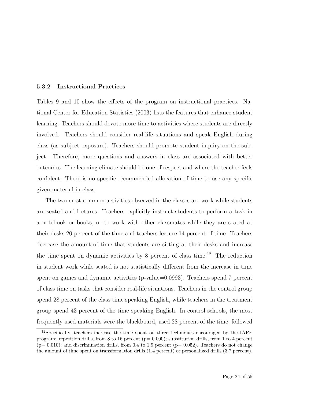#### **5.3.2 Instructional Practices**

Tables [9](#page-29-0) and 10 show the effects of the program on instructional practices. [Na](#page-43-0)[tional Center for Education Statistics](#page-43-0) [\(2003\)](#page-43-0) lists the features that enhance student learning. Teachers should devote more time to activities where students are directly involved. Teachers should consider real-life situations and speak English during class (as subject exposure). Teachers should promote student inquiry on the subject. Therefore, more questions and answers in class are associated with better outcomes. The learning climate should be one of respect and where the teacher feels confident. There is no specific recommended allocation of time to use any specific given material in class.

The two most common activities observed in the classes are work while students are seated and lectures. Teachers explicitly instruct students to perform a task in a notebook or books, or to work with other classmates while they are seated at their desks 20 percent of the time and teachers lecture 14 percent of time. Teachers decrease the amount of time that students are sitting at their desks and increase the time spent on dynamic activities by 8 percent of class time.<sup>12</sup> The reduction in student work while seated is not statistically different from the increase in time spent on games and dynamic activities (p-value=0.0993). Teachers spend 7 percent of class time on tasks that consider real-life situations. Teachers in the control group spend 28 percent of the class time speaking English, while teachers in the treatment group spend 43 percent of the time speaking English. In control schools, the most frequently used materials were the blackboard, used 28 percent of the time, followed

<sup>&</sup>lt;sup>12</sup>Specifically, teachers increase the time spent on three techniques encouraged by the IAPE program: repetition drills, from 8 to 16 percent ( $p= 0.000$ ); substitution drills, from 1 to 4 percent  $(p= 0.010)$ ; and discrimination drills, from 0.4 to 1.9 percent  $(p= 0.052)$ . Teachers do not change the amount of time spent on transformation drills (1.4 percent) or personalized drills (3.7 percent).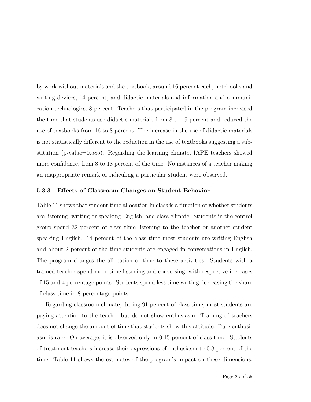by work without materials and the textbook, around 16 percent each, notebooks and writing devices, 14 percent, and didactic materials and information and communication technologies, 8 percent. Teachers that participated in the program increased the time that students use didactic materials from 8 to 19 percent and reduced the use of textbooks from 16 to 8 percent. The increase in the use of didactic materials is not statistically different to the reduction in the use of textbooks suggesting a substitution (p-value=0.585). Regarding the learning climate, IAPE teachers showed more confidence, from 8 to 18 percent of the time. No instances of a teacher making an inappropriate remark or ridiculing a particular student were observed.

#### **5.3.3 Effects of Classroom Changes on Student Behavior**

Table [11](#page-31-0) shows that student time allocation in class is a function of whether students are listening, writing or speaking English, and class climate. Students in the control group spend 32 percent of class time listening to the teacher or another student speaking English. 14 percent of the class time most students are writing English and about 2 percent of the time students are engaged in conversations in English. The program changes the allocation of time to these activities. Students with a trained teacher spend more time listening and conversing, with respective increases of 15 and 4 percentage points. Students spend less time writing decreasing the share of class time in 8 percentage points.

Regarding classroom climate, during 91 percent of class time, most students are paying attention to the teacher but do not show enthusiasm. Training of teachers does not change the amount of time that students show this attitude. Pure enthusiasm is rare. On average, it is observed only in 0.15 percent of class time. Students of treatment teachers increase their expressions of enthusiasm to 0.8 percent of the time. Table [11](#page-31-0) shows the estimates of the program's impact on these dimensions.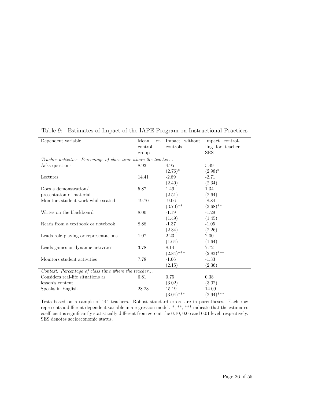| Dependent variable                                             | Mean<br><b>on</b> | Impact without | Impact control-  |
|----------------------------------------------------------------|-------------------|----------------|------------------|
|                                                                | control           | controls       | ling for teacher |
|                                                                | group             |                | <b>SES</b>       |
| Teacher activities. Percentage of class time where the teacher |                   |                |                  |
| Asks questions                                                 | 8.93              | 4.95           | 5.49             |
|                                                                |                   | $(2.76)^*$     | $(2.98)^*$       |
| Lectures                                                       | 14.41             | $-2.89$        | $-2.71$          |
|                                                                |                   | (2.40)         | (2.34)           |
| Does a demonstration/                                          | 5.87              | 1.49           | 1.34             |
| presentation of material                                       |                   | (2.51)         | (2.64)           |
| Monitors student work while seated                             | 19.70             | $-9.06$        | $-8.84$          |
|                                                                |                   | $(3.70)$ **    | $(3.68)$ **      |
| Writes on the blackboard                                       | 8.00              | $-1.19$        | $-1.29$          |
|                                                                |                   | (1.49)         | (1.45)           |
| Reads from a textbook or notebook                              | 8.88              | $-1.37$        | $-1.05$          |
|                                                                |                   | (2.34)         | (2.26)           |
| Leads role-playing or representations                          | 1.07              | 2.23           | 2.00             |
|                                                                |                   | (1.64)         | (1.64)           |
| Leads games or dynamic activities                              | 3.78              | 8.14           | 7.72             |
|                                                                |                   | $(2.84)$ ***   | $(2.83)$ ***     |
| Monitors student activities                                    | 7.78              | $-1.66$        | $-1.33$          |
|                                                                |                   | (2.15)         | (2.36)           |
| Context. Percentage of class time where the teacher            |                   |                |                  |
| Considers real-life situations as                              | 6.81              | 0.75           | $0.38\,$         |
| lesson's content                                               |                   | (3.02)         | (3.02)           |
| Speaks in English                                              | 28.23             | 15.19          | 14.09            |
|                                                                |                   | $(3.04)$ ***   | $(2.94)$ ***     |

<span id="page-29-0"></span>Table 9: Estimates of Impact of the IAPE Program on Instructional Practices

Tests based on a sample of 144 teachers. Robust standard errors are in parentheses. Each row represents a different dependent variable in a regression model. \*, \*\*, \*\*\* indicate that the estimates coefficient is significantly statistically different from zero at the 0.10, 0.05 and 0.01 level, respectively. SES denotes socioeconomic status.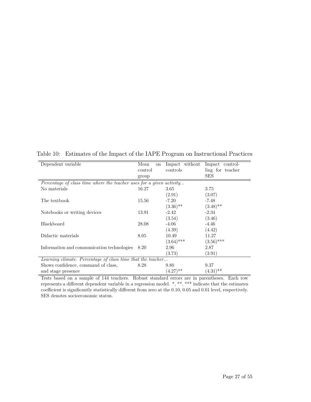| Dependent variable                                                   | Mean<br>on | Impact without | Impact control-  |
|----------------------------------------------------------------------|------------|----------------|------------------|
|                                                                      | control    | controls       | ling for teacher |
|                                                                      | group      |                | <b>SES</b>       |
| Percentage of class time where the teacher uses for a given activity |            |                |                  |
| No materials                                                         | 16.27      | 3.65           | 3.75             |
|                                                                      |            | (2.91)         | (3.07)           |
| The textbook                                                         | 15.56      | $-7.20$        | $-7.48$          |
|                                                                      |            | $(3.36)$ **    | $(3.48)$ **      |
| Notebooks or writing devices                                         | 13.91      | $-2.42$        | $-2.34$          |
|                                                                      |            | (3.54)         | (3.46)           |
| Blackboard                                                           | 28.08      | $-4.06$        | $-4.46$          |
|                                                                      |            | (4.39)         | (4.42)           |
| Didactic materials                                                   | 8.05       | 10.49          | 11.27            |
|                                                                      |            | $(3.64)$ ***   | $(3.56)$ ***     |
| Information and communication technologies                           | 8.20       | 2.96           | 2.87             |
|                                                                      |            | (3.73)         | (3.91)           |
| Learning climate. Percentage of class time that the teacher          |            |                |                  |
| Shows confidence, command of class,                                  | 8.28       | 9.80           | 9.37             |
| and stage presence                                                   |            | $(4.27)$ **    | $(4.31)$ **      |

Table 10: Estimates of the Impact of the IAPE Program on Instructional Practices

Tests based on a sample of 144 teachers. Robust standard errors are in parentheses. Each row represents a different dependent variable in a regression model. \*, \*\*, \*\*\* indicate that the estimates coefficient is significantly statistically different from zero at the 0.10, 0.05 and 0.01 level, respectively. SES denotes socioeconomic status.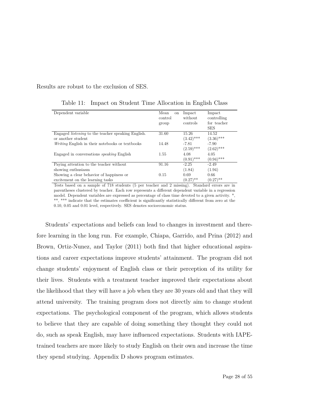Results are robust to the exclusion of SES.

| Dependent variable                                        | Mean    |              | Impact       |
|-----------------------------------------------------------|---------|--------------|--------------|
|                                                           | on      | Impact       |              |
|                                                           | control | without      | controlling  |
|                                                           | group   | controls     | for teacher  |
|                                                           |         |              | <b>SES</b>   |
| Engaged <i>listening</i> to the teacher speaking English. | 31.60   | 15.26        | 14.52        |
| or another student                                        |         | $(3.42)$ *** | $(3.36)$ *** |
| Writing English in their notebooks or textbooks           | 14.48   | $-7.81$      | $-7.90$      |
|                                                           |         | $(2.59)$ *** | $(2.62)$ *** |
| Engaged in conversations <i>speaking</i> English          | 1.55    | 4.08         | 4.05         |
|                                                           |         | $(0.91)$ *** | $(0.94)$ *** |
| Paying attention to the teacher without                   | 91.16   | $-2.25$      | $-2.49$      |
| showing enthusiasm                                        |         | (1.84)       | (1.94)       |
| Showing a clear behavior of happiness or                  | 0.15    | 0.69         | 0.66         |
| excitement on the learning tasks                          |         | $(0.27)$ **  | $(0.27)$ **  |

<span id="page-31-0"></span>Table 11: Impact on Student Time Allocation in English Class

Tests based on a sample of 718 students (5 per teacher and 2 missing). Standard errors are in parentheses clustered by teacher. Each row represents a different dependent variable in a regression model. Dependent variables are expressed as percentage of class time devoted to a given activity. \*, \*\*, \*\*\* indicate that the estimates coefficient is significantly statistically different from zero at the 0.10, 0.05 and 0.01 level, respectively. SES denotes socioeconomic status.

Students' expectations and beliefs can lead to changes in investment and therefore learning in the long run. For example, Chiapa, Garrido, and Prina (2012) and Brown, Ortiz-Nunez, and Taylor (2011) both find that higher educational aspirations and career expectations improve students' attainment. The program did not change students' enjoyment of English class or their perception of its utility for their lives. Students with a treatment teacher improved their expectations about the likelihood that they will have a job when they are 30 years old and that they will attend university. The training program does not directly aim to change student expectations. The psychological component of the program, which allows students to believe that they are capable of doing something they thought they could not do, such as speak English, may have influenced expectations. Students with IAPEtrained teachers are more likely to study English on their own and increase the time they spend studying. Appendix D shows program estimates.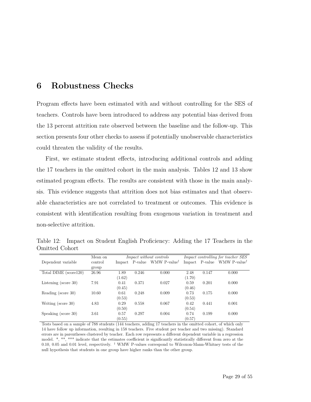## **6 Robustness Checks**

Program effects have been estimated with and without controlling for the SES of teachers. Controls have been introduced to address any potential bias derived from the 13 percent attrition rate observed between the baseline and the follow-up. This section presents four other checks to assess if potentially unobservable characteristics could threaten the validity of the results.

First, we estimate student effects, introducing additional controls and adding the 17 teachers in the omitted cohort in the main analysis. Tables [12](#page-32-0) and [13](#page-33-0) show estimated program effects. The results are consistent with those in the main analysis. This evidence suggests that attrition does not bias estimates and that observable characteristics are not correlated to treatment or outcomes. This evidence is consistent with identification resulting from exogenous variation in treatment and non-selective attrition.

<span id="page-32-0"></span>

|                |  | Table 12: Impact on Student English Proficiency: Adding the 17 Teachers in the |  |  |  |
|----------------|--|--------------------------------------------------------------------------------|--|--|--|
| Omitted Cohort |  |                                                                                |  |  |  |

|                       | Mean on | <i>Impact without controls</i> |       |                                         |        |       | Impact controlling for teacher SES      |
|-----------------------|---------|--------------------------------|-------|-----------------------------------------|--------|-------|-----------------------------------------|
| Dependent variable    | control |                                |       | Impact P-value WMW P-value <sup>†</sup> |        |       | Impact P-value WMW P-value <sup>†</sup> |
|                       | group   |                                |       |                                         |        |       |                                         |
| Total DIME (score120) | 26.96   | 1.89                           | 0.246 | 0.000                                   | 2.48   | 0.147 | 0.000                                   |
|                       |         | (1.62)                         |       |                                         | (1.70) |       |                                         |
| Listening (score 30)  | 7.91    | 0.41                           | 0.371 | 0.027                                   | 0.59   | 0.201 | 0.000                                   |
|                       |         | (0.45)                         |       |                                         | (0.46) |       |                                         |
| Reading (score 30)    | 10.60   | 0.61                           | 0.248 | 0.009                                   | 0.73   | 0.175 | 0.000                                   |
|                       |         | (0.53)                         |       |                                         | (0.53) |       |                                         |
| Writing (score 30)    | 4.83    | 0.29                           | 0.558 | 0.067                                   | 0.42   | 0.441 | 0.001                                   |
|                       |         | (0.50)                         |       |                                         | (0.54) |       |                                         |
| Speaking (score 30)   | 3.61    | 0.57                           | 0.297 | 0.004                                   | 0.74   | 0.199 | 0.000                                   |
|                       |         | (0.55)                         |       |                                         | (0.57) |       |                                         |

Tests based on a sample of 788 students (144 teachers, adding 17 teachers in the omitted cohort, of which only 14 have follow up information, resulting in 158 teachers. Five student per teacher and two missing). Standard errors are in parentheses clustered by teacher. Each row represents a different dependent variable in a regression model. \*, \*\*, \*\*\* indicate that the estimates coefficient is significantly statistically different from zero at the 0.10, 0.05 and 0.01 level, respectively. <sup>†</sup> WMW P-values correspond to Wilcoxon-Mann-Whitney tests of the null hypothesis that students in one group have higher ranks than the other group.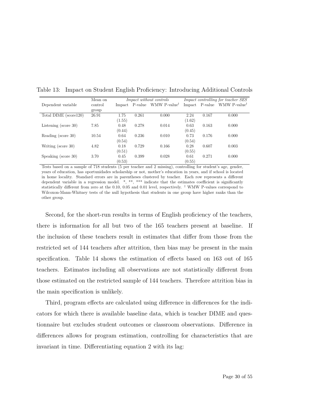|                         | Mean on |        |                | <i>Impact without controls</i> |        |                | <i>Impact controlling for teacher SES</i> |
|-------------------------|---------|--------|----------------|--------------------------------|--------|----------------|-------------------------------------------|
| Dependent variable      | control |        | Impact P-value | WMW P-value <sup>†</sup>       |        | Impact P-value | WMW P-value <sup>†</sup>                  |
|                         | group   |        |                |                                |        |                |                                           |
| Total DIME (score120)   | 26.91   | 1.75   | 0.261          | 0.000                          | 2.24   | 0.167          | 0.000                                     |
|                         |         | (1.55) |                |                                | (1.62) |                |                                           |
| Listening (score $30$ ) | 7.85    | 0.48   | 0.278          | 0.014                          | 0.63   | 0.163          | 0.000                                     |
|                         |         | (0.44) |                |                                | (0.45) |                |                                           |
| Reading (score 30)      | 10.54   | 0.64   | 0.236          | 0.010                          | 0.73   | 0.176          | 0.000                                     |
|                         |         | (0.54) |                |                                | (0.54) |                |                                           |
| Writing (score 30)      | 4.82    | 0.18   | 0.729          | 0.166                          | 0.28   | 0.607          | 0.003                                     |
|                         |         | (0.51) |                |                                | (0.55) |                |                                           |
| Speaking (score 30)     | 3.70    | 0.45   | 0.399          | 0.028                          | 0.61   | 0.271          | 0.000                                     |
|                         |         | (0.53) |                |                                | (0.55) |                |                                           |

<span id="page-33-0"></span>Table 13: Impact on Student English Proficiency: Introducing Additional Controls

Tests based on a sample of 718 students (5 per teacher and 2 missing), controlling for student's age, gender, years of education, has oportunidades scholarship or not, mother's education in years, and if school is located in home locality. Standard errors are in parentheses clustered by teacher. Each row represents a different dependent variable in a regression model. \*, \*\*, \*\*\* indicate that the estimates coefficient is significantly statistically different from zero at the 0.10, 0.05 and 0.01 level, respectively. † WMW P-values correspond to Wilcoxon-Mann-Whitney tests of the null hypothesis that students in one group have higher ranks than the other group.

Second, for the short-run results in terms of English proficiency of the teachers, there is information for all but two of the 165 teachers present at baseline. If the inclusion of these teachers result in estimates that differ from those from the restricted set of 144 teachers after attrition, then bias may be present in the main specification. Table 14 shows the estimation of effects based on 163 out of 165 teachers. Estimates including all observations are not statistically different from those estimated on the restricted sample of 144 teachers. Therefore attrition bias in the main specification is unlikely.

Third, program effects are calculated using difference in differences for the indicators for which there is available baseline data, which is teacher DIME and questionnaire but excludes student outcomes or classroom observations. Difference in differences allows for program estimation, controlling for characteristics that are invariant in time. Differentiating equation 2 with its lag: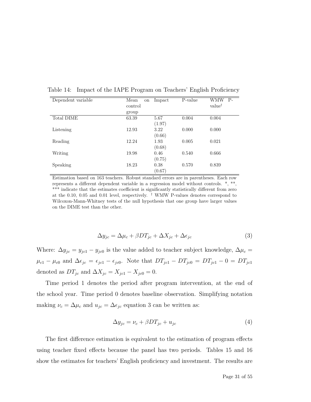| Dependent variable | Mean<br>on | Impact | P-value | WMW<br>$P-$        |
|--------------------|------------|--------|---------|--------------------|
|                    | control    |        |         | value <sup>†</sup> |
|                    | group      |        |         |                    |
| <b>Total DIME</b>  | 63.39      | 5.67   | 0.004   | 0.004              |
|                    |            | (1.97) |         |                    |
| Listening          | 12.93      | 3.22   | 0.000   | 0.000              |
|                    |            | (0.66) |         |                    |
| Reading            | 12.24      | 1.93   | 0.005   | 0.021              |
|                    |            | (0.68) |         |                    |
| Writing            | 19.98      | 0.46   | 0.540   | 0.666              |
|                    |            | (0.75) |         |                    |
| Speaking           | 18.23      | 0.38   | 0.570   | 0.839              |
|                    |            | (0.67) |         |                    |

Table 14: Impact of the IAPE Program on Teachers' English Proficiency

Estimation based on 163 teachers. Robust standard errors are in parentheses. Each row represents a different dependent variable in a regression model without controls. \*, \*\*, \*\*\* indicate that the estimates coefficient is significantly statistically different from zero at the 0.10, 0.05 and 0.01 level, respectively. <sup>†</sup> WMW P-values denotes correspond to Wilcoxon-Mann-Whitney tests of the null hypothesis that one group have larger values on the DIME test than the other.

$$
\Delta y_{jc} = \Delta \mu_c + \beta DT_{jc} + \Delta X_{jc} + \Delta \epsilon_{jc}
$$
\n(3)

Where:  $\Delta y_{jc} = y_{jc1} - y_{jc0}$  is the value added to teacher subject knowledge,  $\Delta \mu_c =$  $\mu_{c1} - \mu_{c0}$  and  $\Delta \epsilon_{jc} = \epsilon_{jc1} - \epsilon_{jc0}$ . Note that  $DT_{jc1} - DT_{jc0} = DT_{jc1} - 0 = DT_{jc1}$ denoted as  $DT_{jc}$  and  $\Delta X_{jc} = X_{jc1} - X_{jc0} = 0$ .

Time period 1 denotes the period after program intervention, at the end of the school year. Time period 0 denotes baseline observation. Simplifying notation making  $\nu_c = \Delta \mu_c$  and  $u_{jc} = \Delta \epsilon_{jc}$  equation 3 can be written as:

$$
\Delta y_{jc} = \nu_c + \beta DT_{jc} + u_{jc} \tag{4}
$$

The first difference estimation is equivalent to the estimation of program effects using teacher fixed effects because the panel has two periods. Tables 15 and 16 show the estimates for teachers' English proficiency and investment. The results are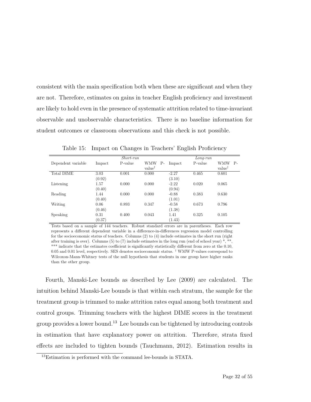consistent with the main specification both when these are significant and when they are not. Therefore, estimates on gains in teacher English proficiency and investment are likely to hold even in the presence of systematic attrition related to time-invariant observable and unobservable characteristics. There is no baseline information for student outcomes or classroom observations and this check is not possible.

|                    |                | Short-run |                                 |                   | $Long-run$ |                                   |
|--------------------|----------------|-----------|---------------------------------|-------------------|------------|-----------------------------------|
| Dependent variable | Impact         | P-value   | WMW<br>Р-<br>value <sup>†</sup> | Impact            | P-value    | $P-$<br>WMW<br>value <sup>†</sup> |
| Total DIME         | 3.03<br>(0.92) | 0.001     | 0.000                           | $-2.27$<br>(3.10) | 0.465      | 0.601                             |
| Listening          | 1.57<br>(0.40) | 0.000     | 0.000                           | $-2.22$<br>(0.94) | 0.020      | 0.065                             |
| Reading            | 1.44<br>(0.40) | 0.000     | 0.000                           | $-0.88$<br>(1.01) | 0.383      | 0.630                             |
| Writing            | 0.06<br>(0.46) | 0.893     | 0.347                           | $-0.58$<br>(1.38) | 0.673      | 0.796                             |
| Speaking           | 0.31<br>(0.37) | 0.400     | 0.043                           | 1.41<br>(1.43)    | 0.325      | 0.105                             |

Table 15: Impact on Changes in Teachers' English Proficiency

Tests based on a sample of 144 teachers. Robust standard errors are in parentheses. Each row represents a different dependent variable in a difference-in-differences regression model controlling for the socioeconomic status of teachers. Columns (2) to (4) include estimates in the short run (right after training is over). Columns (5) to (7) include estimates in the long run (end of school year)  $^*$ ,  $^*$ , \*\*\* indicate that the estimates coefficient is significantly statistically different from zero at the 0.10, 0.05 and 0.01 level, respectively. SES denotes socioeconomic status. † WMW P-values correspond to Wilcoxon-Mann-Whitney tests of the null hypothesis that students in one group have higher ranks than the other group.

Fourth, Manski-Lee bounds as described by Lee (2009) are calculated. The intuition behind Manski-Lee bounds is that within each stratum, the sample for the treatment group is trimmed to make attrition rates equal among both treatment and control groups. Trimming teachers with the highest DIME scores in the treatment group provides a lower bound.<sup>13</sup> Lee bounds can be tightened by introducing controls in estimation that have explanatory power on attrition. Therefore, strata fixed effects are included to tighten bounds (Tauchmann, 2012). Estimation results in

<sup>13</sup>Estimation is performed with the command lee-bounds in STATA.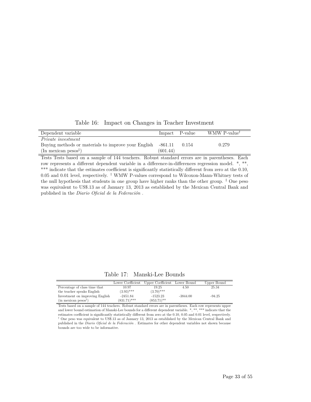Table 16: Impact on Changes in Teacher Investment

| Dependent variable                                          |          | Impact P-value | WMW P-value <sup>†</sup> |
|-------------------------------------------------------------|----------|----------------|--------------------------|
| <i>Private investment</i>                                   |          |                |                          |
| Buying methods or materials to improve your English -861.11 |          | 0.154          | 0.279                    |
| $(\text{In mexican } p\text{esos}^{\ddagger})$              | (601.44) |                |                          |

Tests Tests based on a sample of 144 teachers. Robust standard errors are in parentheses. Each row represents a different dependent variable in a difference-in-differences regression model.  $*, **$ \*\*\* indicate that the estimates coefficient is significantly statistically different from zero at the 0.10, 0.05 and 0.01 level, respectively. † WMW P-values correspond to Wilcoxon-Mann-Whitney tests of the null hypothesis that students in one group have higher ranks than the other group. ‡ One peso was equivalent to US\$.13 as of January 13, 2013 as established by the Mexican Central Bank and published in the *Diario Oficial de la Federación* .

Table 17: Manski-Lee Bounds

|                                    | Lower Coefficient | Upper Coefficient | Lower Bound | Upper Bound |
|------------------------------------|-------------------|-------------------|-------------|-------------|
| Percentage of class time that      | 10.97             | 19.25             | 4.50        | 25.34       |
| the teacher speaks English         | $(3.93)$ ***      | $(3.70)$ ***      |             |             |
| Investment on improving English    | $-2451.84$        | $-1523.23$        | $-3844.00$  | $-94.25$    |
| $(in$ mexican pesos <sup>†</sup> ) | $(831.71)$ ***    | $(853.71)$ **     |             |             |

Tests based on a sample of 144 teachers. Robust standard errors are in parentheses. Each row represents upper and lower bound estimation of Manski-Lee bounds for a different dependent variable. \*, \*\*, \*\*\* indicate that the estimates coefficient is significantly statistically different from zero at the 0.10, 0.05 and 0.01 level, respectively. † One peso was equivalent to US\$.13 as of January 13, 2013 as established by the Mexican Central Bank and published in the *Diario Oficial de la Federación* . Estimates for other dependent variables not shown because bounds are too wide to be informative.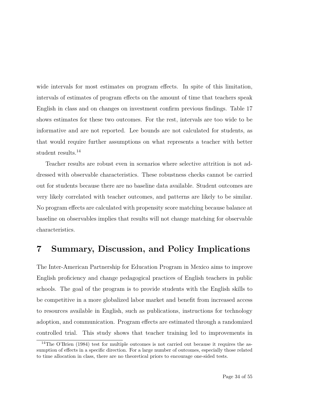wide intervals for most estimates on program effects. In spite of this limitation, intervals of estimates of program effects on the amount of time that teachers speak English in class and on changes on investment confirm previous findings. Table 17 shows estimates for these two outcomes. For the rest, intervals are too wide to be informative and are not reported. Lee bounds are not calculated for students, as that would require further assumptions on what represents a teacher with better student results.14

Teacher results are robust even in scenarios where selective attrition is not addressed with observable characteristics. These robustness checks cannot be carried out for students because there are no baseline data available. Student outcomes are very likely correlated with teacher outcomes, and patterns are likely to be similar. No program effects are calculated with propensity score matching because balance at baseline on observables implies that results will not change matching for observable characteristics.

## **7 Summary, Discussion, and Policy Implications**

The Inter-American Partnership for Education Program in Mexico aims to improve English proficiency and change pedagogical practices of English teachers in public schools. The goal of the program is to provide students with the English skills to be competitive in a more globalized labor market and benefit from increased access to resources available in English, such as publications, instructions for technology adoption, and communication. Program effects are estimated through a randomized controlled trial. This study shows that teacher training led to improvements in

<sup>&</sup>lt;sup>14</sup>The O'Brien  $(1984)$  test for multiple outcomes is not carried out because it requires the assumption of effects in a specific direction. For a large number of outcomes, especially those related to time allocation in class, there are no theoretical priors to encourage one-sided tests.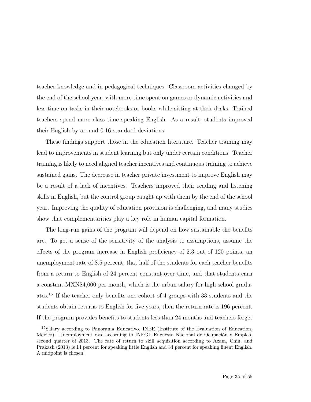teacher knowledge and in pedagogical techniques. Classroom activities changed by the end of the school year, with more time spent on games or dynamic activities and less time on tasks in their notebooks or books while sitting at their desks. Trained teachers spend more class time speaking English. As a result, students improved their English by around 0.16 standard deviations.

These findings support those in the education literature. Teacher training may lead to improvements in student learning but only under certain conditions. Teacher training is likely to need aligned teacher incentives and continuous training to achieve sustained gains. The decrease in teacher private investment to improve English may be a result of a lack of incentives. Teachers improved their reading and listening skills in English, but the control group caught up with them by the end of the school year. Improving the quality of education provision is challenging, and many studies show that complementarities play a key role in human capital formation.

The long-run gains of the program will depend on how sustainable the benefits are. To get a sense of the sensitivity of the analysis to assumptions, assume the effects of the program increase in English proficiency of 2.3 out of 120 points, an unemployment rate of 8.5 percent, that half of the students for each teacher benefits from a return to English of 24 percent constant over time, and that students earn a constant MXN\$4,000 per month, which is the urban salary for high school graduates.15 If the teacher only benefits one cohort of 4 groups with 33 students and the students obtain returns to English for five years, then the return rate is 196 percent. If the program provides benefits to students less than 24 months and teachers forget

<sup>15</sup>Salary according to Panorama Educativo, INEE (Institute of the Evaluation of Education, Mexico). Unemployment rate according to INEGI. Encuesta Nacional de Ocupación y Empleo, second quarter of 2013. The rate of return to skill acquisition according to Azam, Chin, and Prakash (2013) is 14 percent for speaking little English and 34 percent for speaking fluent English. A midpoint is chosen.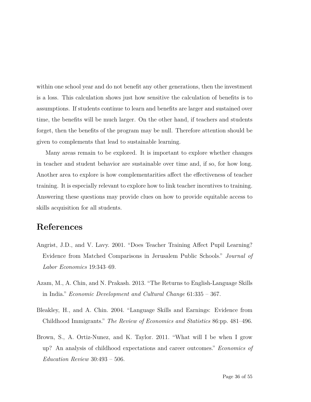within one school year and do not benefit any other generations, then the investment is a loss. This calculation shows just how sensitive the calculation of benefits is to assumptions. If students continue to learn and benefits are larger and sustained over time, the benefits will be much larger. On the other hand, if teachers and students forget, then the benefits of the program may be null. Therefore attention should be given to complements that lead to sustainable learning.

Many areas remain to be explored. It is important to explore whether changes in teacher and student behavior are sustainable over time and, if so, for how long. Another area to explore is how complementarities affect the effectiveness of teacher training. It is especially relevant to explore how to link teacher incentives to training. Answering these questions may provide clues on how to provide equitable access to skills acquisition for all students.

### **References**

- Angrist, J.D., and V. Lavy. 2001. "Does Teacher Training Affect Pupil Learning? Evidence from Matched Comparisons in Jerusalem Public Schools." *Journal of Labor Economics* 19:343–69.
- Azam, M., A. Chin, and N. Prakash. 2013. "The Returns to English-Language Skills in India." *Economic Development and Cultural Change* 61:335 – 367.
- Bleakley, H., and A. Chin. 2004. "Language Skills and Earnings: Evidence from Childhood Immigrants." *The Review of Economics and Statistics* 86:pp. 481–496.
- Brown, S., A. Ortiz-Nunez, and K. Taylor. 2011. "What will I be when I grow up? An analysis of childhood expectations and career outcomes." *Economics of Education Review* 30:493 – 506.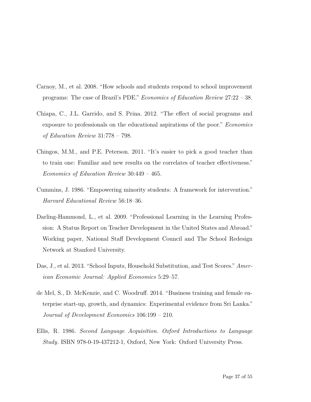- Carnoy, M., et al. 2008. "How schools and students respond to school improvement programs: The case of Brazil's PDE." *Economics of Education Review* 27:22 – 38.
- Chiapa, C., J.L. Garrido, and S. Prina. 2012. "The effect of social programs and exposure to professionals on the educational aspirations of the poor." *Economics of Education Review* 31:778 – 798.
- Chingos, M.M., and P.E. Peterson. 2011. "It's easier to pick a good teacher than to train one: Familiar and new results on the correlates of teacher effectiveness." *Economics of Education Review* 30:449 – 465.
- Cummins, J. 1986. "Empowering minority students: A framework for intervention." *Harvard Educational Review* 56:18–36.
- Darling-Hammond, L., et al. 2009. "Professional Learning in the Learning Profession: A Status Report on Teacher Development in the United States and Abroad." Working paper, National Staff Development Council and The School Redesign Network at Stanford University.
- Das, J., et al. 2013. "School Inputs, Household Substitution, and Test Scores." *American Economic Journal: Applied Economics* 5:29–57.
- de Mel, S., D. McKenzie, and C. Woodruff. 2014. "Business training and female enterprise start-up, growth, and dynamics: Experimental evidence from Sri Lanka." *Journal of Development Economics* 106:199 – 210.
- Ellis, R. 1986. *Second Language Acquisition. Oxford Introductions to Language Study*. ISBN 978-0-19-437212-1, Oxford, New York: Oxford University Press.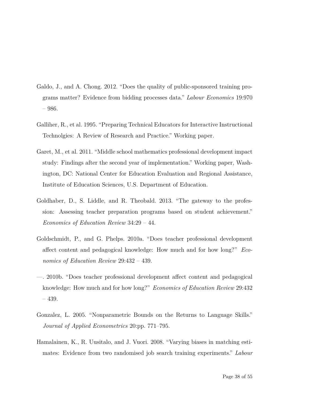- Galdo, J., and A. Chong. 2012. "Does the quality of public-sponsored training programs matter? Evidence from bidding processes data." *Labour Economics* 19:970 – 986.
- Galliher, R., et al. 1995. "Preparing Technical Educators for Interactive Instructional Technolgies: A Review of Research and Practice." Working paper.
- <span id="page-41-0"></span>Garet, M., et al. 2011. "Middle school mathematics professional development impact study: Findings after the second year of implementation." Working paper, Washington, DC: National Center for Education Evaluation and Regional Assistance, Institute of Education Sciences, U.S. Department of Education.
- Goldhaber, D., S. Liddle, and R. Theobald. 2013. "The gateway to the profession: Assessing teacher preparation programs based on student achievement." *Economics of Education Review* 34:29 – 44.
- Goldschmidt, P., and G. Phelps. 2010a. "Does teacher professional development affect content and pedagogical knowledge: How much and for how long?" *Economics of Education Review* 29:432 – 439.
- —. 2010b. "Does teacher professional development affect content and pedagogical knowledge: How much and for how long?" *Economics of Education Review* 29:432 – 439.
- Gonzalez, L. 2005. "Nonparametric Bounds on the Returns to Language Skills." *Journal of Applied Econometrics* 20:pp. 771–795.
- Hamalainen, K., R. Uusitalo, and J. Vuori. 2008. "Varying biases in matching estimates: Evidence from two randomised job search training experiments." *Labour*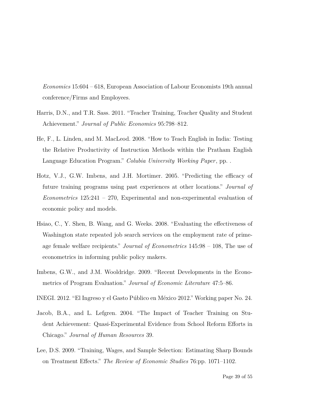*Economics* 15:604 – 618, European Association of Labour Economists 19th annual conference/Firms and Employees.

- Harris, D.N., and T.R. Sass. 2011. "Teacher Training, Teacher Quality and Student Achievement." *Journal of Public Economics* 95:798–812.
- He, F., L. Linden, and M. MacLeod. 2008. "How to Teach English in India: Testing the Relative Productivity of Instruction Methods within the Pratham English Language Education Program." *Colubia University Working Paper*, pp. .
- Hotz, V.J., G.W. Imbens, and J.H. Mortimer. 2005. "Predicting the efficacy of future training programs using past experiences at other locations." *Journal of Econometrics* 125:241 – 270, Experimental and non-experimental evaluation of economic policy and models.
- Hsiao, C., Y. Shen, B. Wang, and G. Weeks. 2008. "Evaluating the effectiveness of Washington state repeated job search services on the employment rate of primeage female welfare recipients." *Journal of Econometrics* 145:98 – 108, The use of econometrics in informing public policy makers.
- Imbens, G.W., and J.M. Wooldridge. 2009. "Recent Developments in the Econometrics of Program Evaluation." *Journal of Economic Literature* 47:5–86.
- INEGI. 2012. "El Ingreso y el Gasto Público en México 2012." Working paper No. 24.
- Jacob, B.A., and L. Lefgren. 2004. "The Impact of Teacher Training on Student Achievement: Quasi-Experimental Evidence from School Reform Efforts in Chicago." *Journal of Human Resources* 39.
- Lee, D.S. 2009. "Training, Wages, and Sample Selection: Estimating Sharp Bounds on Treatment Effects." *The Review of Economic Studies* 76:pp. 1071–1102.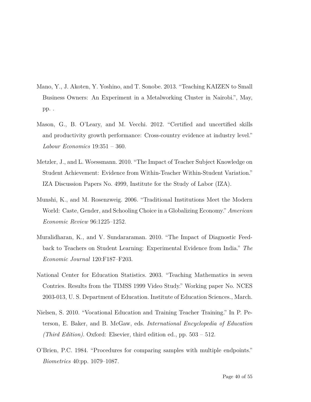- Mano, Y., J. Akoten, Y. Yoshino, and T. Sonobe. 2013. "Teaching KAIZEN to Small Business Owners: An Experiment in a Metalworking Cluster in Nairobi.", May, pp. .
- Mason, G., B. O'Leary, and M. Vecchi. 2012. "Certified and uncertified skills and productivity growth performance: Cross-country evidence at industry level." *Labour Economics* 19:351 – 360.
- Metzler, J., and L. Woessmann. 2010. "The Impact of Teacher Subject Knowledge on Student Achievement: Evidence from Within-Teacher Within-Student Variation." IZA Discussion Papers No. 4999, Institute for the Study of Labor (IZA).
- Munshi, K., and M. Rosenzweig. 2006. "Traditional Institutions Meet the Modern World: Caste, Gender, and Schooling Choice in a Globalizing Economy." *American Economic Review* 96:1225–1252.
- Muralidharan, K., and V. Sundararaman. 2010. "The Impact of Diagnostic Feedback to Teachers on Student Learning: Experimental Evidence from India." *The Economic Journal* 120:F187–F203.
- <span id="page-43-0"></span>National Center for Education Statistics. 2003. "Teaching Mathematics in seven Contries. Results from the TIMSS 1999 Video Study." Working paper No. NCES 2003-013, U. S. Department of Education. Institute of Education Sciences., March.
- Nielsen, S. 2010. "Vocational Education and Training Teacher Training." In P. Peterson, E. Baker, and B. McGaw, eds. *International Encyclopedia of Education (Third Edition)*. Oxford: Elsevier, third edition ed., pp. 503 – 512.
- O'Brien, P.C. 1984. "Procedures for comparing samples with multiple endpoints." *Biometrics* 40:pp. 1079–1087.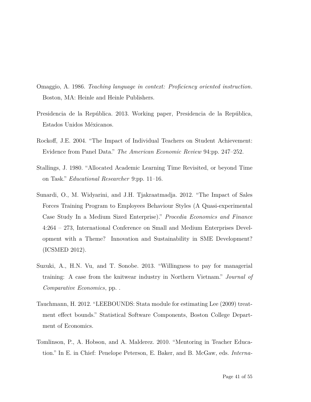- Omaggio, A. 1986. *Teaching language in context: Proficiency oriented instruction*. Boston, MA: Heinle and Heinle Publishers.
- Presidencia de la República. 2013. Working paper, Presidencia de la República, Estados Unidos Méxicanos.
- Rockoff, J.E. 2004. "The Impact of Individual Teachers on Student Achievement: Evidence from Panel Data." *The American Economic Review* 94:pp. 247–252.
- Stallings, J. 1980. "Allocated Academic Learning Time Revisited, or beyond Time on Task." *Educational Researcher* 9:pp. 11–16.
- <span id="page-44-0"></span>Sunardi, O., M. Widyarini, and J.H. Tjakraatmadja. 2012. "The Impact of Sales Forces Training Program to Employees Behaviour Styles (A Quasi-experimental Case Study In a Medium Sized Enterprise)." *Procedia Economics and Finance* 4:264 – 273, International Conference on Small and Medium Enterprises Development with a Theme? Innovation and Sustainability in SME Development? (ICSMED 2012).
- <span id="page-44-1"></span>Suzuki, A., H.N. Vu, and T. Sonobe. 2013. "Willingness to pay for managerial training: A case from the knitwear industry in Northern Vietnam." *Journal of Comparative Economics*, pp. .
- Tauchmann, H. 2012. "LEEBOUNDS: Stata module for estimating Lee (2009) treatment effect bounds." Statistical Software Components, Boston College Department of Economics.
- Tomlinson, P., A. Hobson, and A. Malderez. 2010. "Mentoring in Teacher Education." In E. in Chief: Penelope Peterson, E. Baker, and B. McGaw, eds. *Interna-*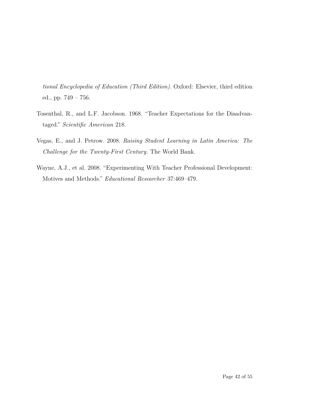*tional Encyclopedia of Education (Third Edition)*. Oxford: Elsevier, third edition ed., pp. 749 – 756.

- Tosenthal, R., and L.F. Jacobson. 1968. "Teacher Expectations for the Disadvantaged." *Scientific American* 218.
- Vegas, E., and J. Petrow. 2008. *Raising Student Learning in Latin America: The Challenge for the Twenty-First Century*. The World Bank.
- <span id="page-45-0"></span>Wayne, A.J., et al. 2008. "Experimenting With Teacher Professional Development: Motives and Methods." *Educational Researcher* 37:469–479.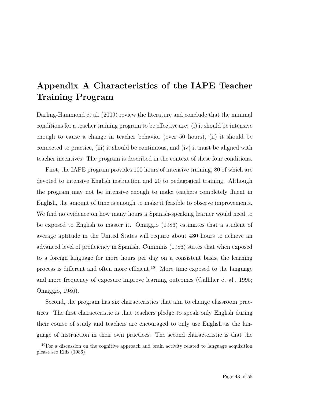## **Appendix A Characteristics of the IAPE Teacher Training Program**

Darling-Hammond et al. (2009) review the literature and conclude that the minimal conditions for a teacher training program to be effective are: (i) it should be intensive enough to cause a change in teacher behavior (over 50 hours), (ii) it should be connected to practice, (iii) it should be continuous, and (iv) it must be aligned with teacher incentives. The program is described in the context of these four conditions.

First, the IAPE program provides 100 hours of intensive training, 80 of which are devoted to intensive English instruction and 20 to pedagogical training. Although the program may not be intensive enough to make teachers completely fluent in English, the amount of time is enough to make it feasible to observe improvements. We find no evidence on how many hours a Spanish-speaking learner would need to be exposed to English to master it. Omaggio (1986) estimates that a student of average aptitude in the United States will require about 480 hours to achieve an advanced level of proficiency in Spanish. Cummins (1986) states that when exposed to a foreign language for more hours per day on a consistent basis, the learning process is different and often more efficient.16. More time exposed to the language and more frequency of exposure improve learning outcomes (Galliher et al., 1995; Omaggio, 1986).

Second, the program has six characteristics that aim to change classroom practices. The first characteristic is that teachers pledge to speak only English during their course of study and teachers are encouraged to only use English as the language of instruction in their own practices. The second characteristic is that the

 $16$  For a discussion on the cognitive approach and brain activity related to language acquisition please see Ellis (1986)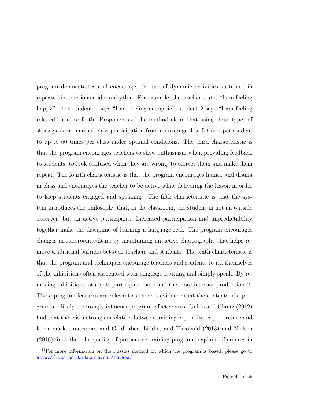program demonstrates and encourages the use of dynamic activities sustained in repeated interactions under a rhythm. For example, the teacher states "I am feeling happy", then student 1 says "I am feeling energetic", student 2 says "I am feeling relaxed", and so forth. Proponents of the method claim that using these types of strategies can increase class participation from an average 4 to 5 times per student to up to 60 times per class under optimal conditions. The third characteristic is that the program encourages teachers to show enthusiasm when providing feedback to students, to look confused when they are wrong, to correct them and make them repeat. The fourth characteristic is that the program encourages humor and drama in class and encourages the teacher to be active while delivering the lesson in order to keep students engaged and speaking. The fifth characteristic is that the system introduces the philosophy that, in the classroom, the student in not an outside observer, but an active participant. Increased participation and unpredictability together make the discipline of learning a language real. The program encourages changes in classroom culture by maintaining an active choreography that helps remove traditional barriers between teachers and students. The sixth characteristic is that the program and techniques encourage teachers and students to rid themselves of the inhibitions often associated with language learning and simply speak. By removing inhibitions, students participate more and therefore increase production.<sup>17</sup>. These program features are relevant as there is evidence that the contents of a program are likely to strongly influence program effectiveness. Galdo and Chong (2012) find that there is a strong correlation between training expenditures per trainee and labor market outcomes and Goldhaber, Liddle, and Theobald (2013) and Nielsen (2010) finds that the quality of pre-service training programs explain differences in

 $17$ For more information on the Rassias method on which the program is based, please go to <http://rassias.dartmouth.edu/method/>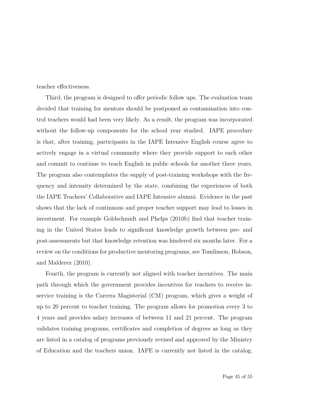teacher effectiveness.

Third, the program is designed to offer periodic follow ups. The evaluation team decided that training for mentors should be postponed as contamination into control teachers would had been very likely. As a result, the program was incorporated without the follow-up components for the school year studied. IAPE procedure is that, after training, participants in the IAPE Intensive English course agree to actively engage in a virtual community where they provide support to each other and commit to continue to teach English in public schools for another three years. The program also contemplates the supply of post-training workshops with the frequency and intensity determined by the state, combining the experiences of both the IAPE Teachers' Collaborative and IAPE Intensive alumni. Evidence in the past shows that the lack of continuous and proper teacher support may lead to losses in investment. For example Goldschmidt and Phelps (2010b) find that teacher training in the United States leads to significant knowledge growth between pre- and post-assessments but that knowledge retention was hindered six months later. For a review on the conditions for productive mentoring programs, see Tomlinson, Hobson, and Malderez (2010).

Fourth, the program is currently not aligned with teacher incentives. The main path through which the government provides incentives for teachers to receive inservice training is the Carrera Magisterial (CM) program, which gives a weight of up to 20 percent to teacher training. The program allows for promotion every 3 to 4 years and provides salary increases of between 11 and 21 percent. The program validates training programs, certificates and completion of degrees as long as they are listed in a catalog of programs previously revised and approved by the Ministry of Education and the teachers union. IAPE is currently not listed in the catalog.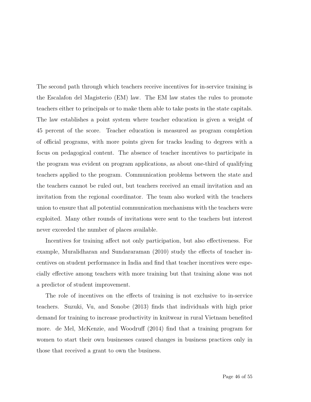The second path through which teachers receive incentives for in-service training is the Escalafon del Magisterio (EM) law. The EM law states the rules to promote teachers either to principals or to make them able to take posts in the state capitals. The law establishes a point system where teacher education is given a weight of 45 percent of the score. Teacher education is measured as program completion of official programs, with more points given for tracks leading to degrees with a focus on pedagogical content. The absence of teacher incentives to participate in the program was evident on program applications, as about one-third of qualifying teachers applied to the program. Communication problems between the state and the teachers cannot be ruled out, but teachers received an email invitation and an invitation from the regional coordinator. The team also worked with the teachers union to ensure that all potential communication mechanisms with the teachers were exploited. Many other rounds of invitations were sent to the teachers but interest never exceeded the number of places available.

Incentives for training affect not only participation, but also effectiveness. For example, Muralidharan and Sundararaman (2010) study the effects of teacher incentives on student performance in India and find that teacher incentives were especially effective among teachers with more training but that training alone was not a predictor of student improvement.

The role of incentives on the effects of training is not exclusive to in-service teachers. [Suzuki, Vu, and Sonobe](#page-44-1) [\(2013\)](#page-44-1) finds that individuals with high prior demand for training to increase productivity in knitwear in rural Vietnam benefited more. de Mel, McKenzie, and Woodruff (2014) find that a training program for women to start their own businesses caused changes in business practices only in those that received a grant to own the business.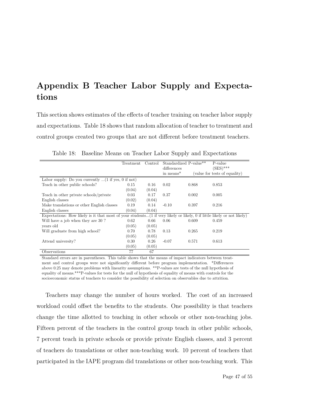## **Appendix B Teacher Labor Supply and Expectations**

This section shows estimates of the effects of teacher training on teacher labor supply and expectations. Table 18 shows that random allocation of teacher to treatment and control groups created two groups that are not different before treatment teachers.

|                                                                                                                         | Treatment                                             | Control | Standardized P-value** |       | P-value                       |  |  |  |
|-------------------------------------------------------------------------------------------------------------------------|-------------------------------------------------------|---------|------------------------|-------|-------------------------------|--|--|--|
|                                                                                                                         |                                                       |         | differences            |       | $(SES)$ ***                   |  |  |  |
|                                                                                                                         |                                                       |         | in means <sup>*</sup>  |       | (value for tests of equality) |  |  |  |
|                                                                                                                         | Labor supply: Do you currently $(1$ if yes, 0 if not) |         |                        |       |                               |  |  |  |
| Teach in other public schools?                                                                                          | 0.15                                                  | 0.16    | 0.02                   | 0.868 | 0.853                         |  |  |  |
|                                                                                                                         | (0.04)                                                | (0.04)  |                        |       |                               |  |  |  |
| Teach in other private schools/private                                                                                  | 0.03                                                  | 0.17    | 0.37                   | 0.002 | 0.005                         |  |  |  |
| English classes                                                                                                         | (0.02)                                                | (0.04)  |                        |       |                               |  |  |  |
| Make translations or other English classes                                                                              | 0.19                                                  | 0.14    | $-0.10$                | 0.397 | 0.216                         |  |  |  |
| English classes                                                                                                         | (0.04)                                                | (0.04)  |                        |       |                               |  |  |  |
| Expectations: How likely is it that most of your students(1 if very likely or likely, 0 if little likely or not likely) |                                                       |         |                        |       |                               |  |  |  |
| Will have a job when they are 30?                                                                                       | 0.62                                                  | 0.66    | 0.06                   | 0.609 | 0.459                         |  |  |  |
| years old                                                                                                               | (0.05)                                                | (0.05)  |                        |       |                               |  |  |  |
| Will graduate from high school?                                                                                         | 0.70                                                  | 0.78    | 0.13                   | 0.265 | 0.219                         |  |  |  |
|                                                                                                                         | (0.05)                                                | (0.05)  |                        |       |                               |  |  |  |
| Attend university?                                                                                                      | 0.30                                                  | 0.26    | $-0.07$                | 0.571 | 0.613                         |  |  |  |
|                                                                                                                         | (0.05)                                                | (0.05)  |                        |       |                               |  |  |  |
| Observations                                                                                                            | 77                                                    | 67      |                        |       |                               |  |  |  |

Table 18: Baseline Means on Teacher Labor Supply and Expectations

Standard errors are in parentheses. This table shows that the means of impact indicators between treatment and control groups were not significantly different before program implementation. \*Differences above 0.25 may denote problems with linearity assumptions. \*\*P-values are tests of the null hypothesis of equality of means.\*\*\*P-values for tests for the null of hypothesis of equality of means with controls for the socioeconomic status of teachers to consider the possibility of selection on observables due to attrition.

Teachers may change the number of hours worked. The cost of an increased workload could offset the benefits to the students. One possibility is that teachers change the time allotted to teaching in other schools or other non-teaching jobs. Fifteen percent of the teachers in the control group teach in other public schools, 7 percent teach in private schools or provide private English classes, and 3 percent of teachers do translations or other non-teaching work. 10 percent of teachers that participated in the IAPE program did translations or other non-teaching work. This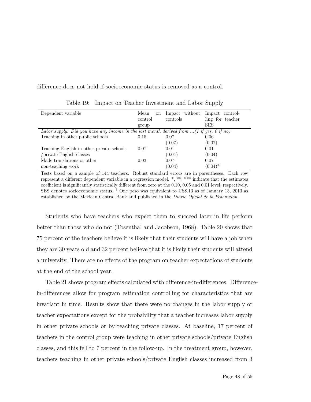difference does not hold if socioeconomic status is removed as a control.

| Dependent variable                                                                                | Mean<br><sub>on</sub> | Impact without | Impact<br>control- |
|---------------------------------------------------------------------------------------------------|-----------------------|----------------|--------------------|
|                                                                                                   | control               | controls       | ling for teacher   |
|                                                                                                   | group                 |                | <b>SES</b>         |
| Labor supply. Did you have any income in the last month derived from $\ldots$ (1 if yes, 0 if no) |                       |                |                    |
| Teaching in other public schools                                                                  | 0.15                  | 0.07           | 0.06               |
|                                                                                                   |                       | (0.07)         | (0.07)             |
| Teaching English in other private schools                                                         | 0.07                  | 0.01           | 0.01               |
| /private English classes                                                                          |                       | (0.04)         | (0.04)             |
| Made translations or other                                                                        | 0.03                  | 0.07           | 0.07               |
| non-teaching work                                                                                 |                       | (0.04)         | $(0.04)^*$         |

Table 19: Impact on Teacher Investment and Labor Supply

Tests based on a sample of 144 teachers. Robust standard errors are in parentheses. Each row represent a different dependent variable in a regression model. \*, \*\*, \*\*\* indicate that the estimates coefficient is significantly statistically different from zero at the 0.10, 0.05 and 0.01 level, respectively. SES denotes socioeconomic status. † One peso was equivalent to US\$.13 as of January 13, 2013 as established by the Mexican Central Bank and published in the *Diario Oficial de la Federación* .

Students who have teachers who expect them to succeed later in life perform better than those who do not (Tosenthal and Jacobson, 1968). Table 20 shows that 75 percent of the teachers believe it is likely that their students will have a job when they are 30 years old and 32 percent believe that it is likely their students will attend a university. There are no effects of the program on teacher expectations of students at the end of the school year.

Table 21 shows program effects calculated with difference-in-differences. Differencein-differences allow for program estimation controlling for characteristics that are invariant in time. Results show that there were no changes in the labor supply or teacher expectations except for the probability that a teacher increases labor supply in other private schools or by teaching private classes. At baseline, 17 percent of teachers in the control group were teaching in other private schools/private English classes, and this fell to 7 percent in the follow-up. In the treatment group, however, teachers teaching in other private schools/private English classes increased from 3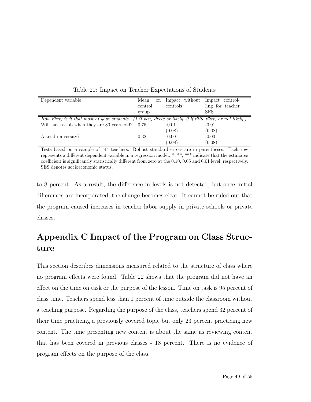| Dependent variable                                                                                         | Mean<br><sub>on</sub> | Impact without | Impact<br>control- |
|------------------------------------------------------------------------------------------------------------|-----------------------|----------------|--------------------|
|                                                                                                            | control               | controls       | ling for teacher   |
|                                                                                                            | group                 |                | <b>SES</b>         |
| How likely is it that most of your students(1 if very likely or likely, 0 if little likely or not likely.) |                       |                |                    |
| Will have a job when they are $30$ years old? $0.75$                                                       |                       | $-0.01$        | $-0.01$            |
|                                                                                                            |                       | (0.08)         | (0.08)             |
| Attend university?                                                                                         | 0.32                  | $-0.00$        | $-0.00$            |
|                                                                                                            |                       | (0.08)         | (0.08)             |

Table 20: Impact on Teacher Expectations of Students

Tests based on a sample of 144 teachers. Robust standard errors are in parentheses. Each row represents a different dependent variable in a regression model. \*, \*\*, \*\*\* indicate that the estimates coefficient is significantly statistically different from zero at the 0.10, 0.05 and 0.01 level, respectively. SES denotes socioeconomic status.

to 8 percent. As a result, the difference in levels is not detected, but once initial differences are incorporated, the change becomes clear. It cannot be ruled out that the program caused increases in teacher labor supply in private schools or private classes.

## **Appendix C Impact of the Program on Class Structure**

This section describes dimensions measured related to the structure of class where no program effects were found. Table 22 shows that the program did not have an effect on the time on task or the purpose of the lesson. Time on task is 95 percent of class time. Teachers spend less than 1 percent of time outside the classroom without a teaching purpose. Regarding the purpose of the class, teachers spend 32 percent of their time practicing a previously covered topic but only 23 percent practicing new content. The time presenting new content is about the same as reviewing content that has been covered in previous classes - 18 percent. There is no evidence of program effects on the purpose of the class.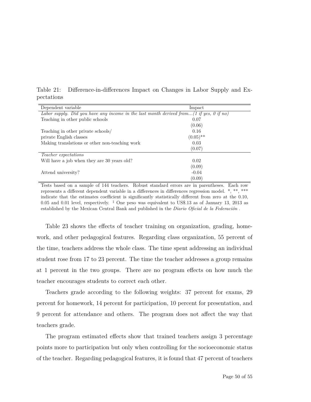Table 21: Difference-in-differences Impact on Changes in Labor Supply and Expectations

| Dependent variable                                                                      | Impact      |  |  |  |
|-----------------------------------------------------------------------------------------|-------------|--|--|--|
| Labor supply. Did you have any income in the last month derived from(1 if yes, 0 if no) |             |  |  |  |
| Teaching in other public schools                                                        | 0.07        |  |  |  |
|                                                                                         | (0.06)      |  |  |  |
| Teaching in other private schools/                                                      | 0.16        |  |  |  |
| private English classes                                                                 | $(0.05)$ ** |  |  |  |
| Making translations or other non-teaching work                                          | 0.03        |  |  |  |
|                                                                                         | (0.07)      |  |  |  |
| <i>Teacher expectations</i>                                                             |             |  |  |  |
| Will have a job when they are 30 years old?                                             | 0.02        |  |  |  |
|                                                                                         | (0.09)      |  |  |  |
| Attend university?                                                                      | $-0.04$     |  |  |  |
|                                                                                         | (0.09)      |  |  |  |

Tests based on a sample of 144 teachers. Robust standard errors are in parentheses. Each row represents a different dependent variable in a differences in differences regression model. \*, \*\*, \*\*\* indicate that the estimates coefficient is significantly statistically different from zero at the 0.10, 0.05 and 0.01 level, respectively.  $\frac{1}{4}$  One peso was equivalent to US\$.13 as of January 13, 2013 as established by the Mexican Central Bank and published in the *Diario Oficial de la Federación* .

Table 23 shows the effects of teacher training on organization, grading, homework, and other pedagogical features. Regarding class organization, 55 percent of the time, teachers address the whole class. The time spent addressing an individual student rose from 17 to 23 percent. The time the teacher addresses a group remains at 1 percent in the two groups. There are no program effects on how much the teacher encourages students to correct each other.

Teachers grade according to the following weights: 37 percent for exams, 29 percent for homework, 14 percent for participation, 10 percent for presentation, and 9 percent for attendance and others. The program does not affect the way that teachers grade.

The program estimated effects show that trained teachers assign 3 percentage points more to participation but only when controlling for the socioeconomic status of the teacher. Regarding pedagogical features, it is found that 47 percent of teachers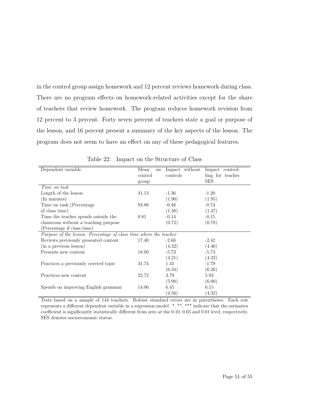in the control group assign homework and 12 percent reviews homework during class. There are no program effects on homework-related activities except for the share of teachers that review homework. The program reduces homework revision from 12 percent to 3 percent. Forty seven percent of teachers state a goal or purpose of the lesson, and 16 percent present a summary of the key aspects of the lesson. The program does not seem to have an effect on any of these pedagogical features.

| Dependent variable                                                | Mean<br><sub>on</sub> | Impact without | Impact control-  |
|-------------------------------------------------------------------|-----------------------|----------------|------------------|
|                                                                   | control               | controls       | ling for teacher |
|                                                                   | group                 |                | <b>SES</b>       |
| Time on task                                                      |                       |                |                  |
| Length of the lesson                                              | 41.13                 | $-1.36$        | $-1.20$          |
| (In minutes)                                                      |                       | (1.90)         | (1.95)           |
| Time on task (Percentage)                                         | 94.88                 | $-0.48$        | $-0.74$          |
| of class time)                                                    |                       | (1.38)         | (1.47)           |
| Time the teacher spends outside the                               | 0.81                  | $-0.14$        | $-0.15$          |
| classroom without a teaching purpose                              |                       | (0.72)         | (0.78)           |
| (Percentage if class time)                                        |                       |                |                  |
| Purpose of the lesson. Percentage of class time where the teacher |                       |                |                  |
| Reviews previously presented content                              | 17.40                 | $-2.66$        | $-2.42$          |
| (in a previous lesson)                                            |                       | (4.32)         | (4.46)           |
| Presents new content                                              | 18.09                 | $-5.73$        | $-5.73$          |
|                                                                   |                       | (4.21)         | (4.32)           |
| Practices a previously covered topic                              | 31.74                 | 1.45           | $-1.79$          |
|                                                                   |                       | (6.34)         | (6.26)           |
| Practices new content                                             | 22.72                 | 3.79           | 5.93             |
|                                                                   |                       | (5.98)         | (6.00)           |
| Spends on improving English grammar                               | 14.06                 | 6.45           | 6.15             |
|                                                                   |                       | (4.56)         | (4.32)           |

Table 22: Impact on the Structure of Class

Tests based on a sample of 144 teachers. Robust standard errors are in parentheses. Each row represents a different dependent variable in a regression model. \*, \*\*, \*\*\* indicate that the estimates coefficient is significantly statistically different from zero at the 0.10, 0.05 and 0.01 level, respectively. SES denotes socioeconomic status.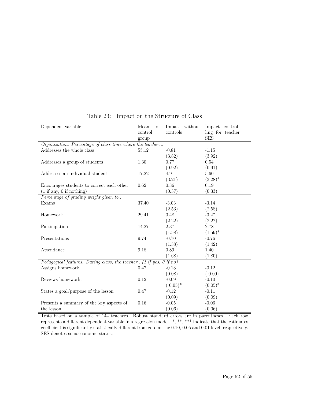| Dependent variable                                                  | Mean<br>on | Impact without | Impact control-  |
|---------------------------------------------------------------------|------------|----------------|------------------|
|                                                                     | control    | controls       | ling for teacher |
|                                                                     | group      |                | <b>SES</b>       |
| Organization. Percentage of class time where the teacher            |            |                |                  |
| Addresses the whole class                                           | 55.12      | $-0.81$        | $-1.15$          |
|                                                                     |            | (3.82)         | (3.92)           |
| Addresses a group of students                                       | 1.30       | 0.77           | 0.54             |
|                                                                     |            | (0.92)         | (0.91)           |
| Addresses an individual student                                     | 17.22      | 4.91           | 5.60             |
|                                                                     |            | (3.21)         | $(3.28)^*$       |
| Encourages students to correct each other                           | 0.62       | 0.36           | 0.19             |
| (1 if any, 0 if nothing)                                            |            | (0.37)         | (0.33)           |
| Percentage of grading weight given to                               |            |                |                  |
| Exams                                                               | 37.40      | $-3.03$        | $-3.14$          |
|                                                                     |            | (2.53)         | (2.58)           |
| Homework                                                            | 29.41      | 0.48           | $-0.27$          |
|                                                                     |            | (2.22)         | (2.22)           |
| Participation                                                       | 14.27      | 2.37           | 2.78             |
|                                                                     |            | (1.58)         | $(1.59)^*$       |
| Presentations                                                       | 9.74       | $-0.70$        | $-0.76$          |
|                                                                     |            | (1.38)         | (1.42)           |
| Attendance                                                          | 9.18       | 0.89           | 1.40             |
|                                                                     |            | (1.68)         | (1.80)           |
| Pedagogical features. During class, the teacher (1 if yes, 0 if no) |            |                |                  |
| Assigns homework.                                                   | 0.47       | $-0.13$        | $-0.12$          |
|                                                                     |            | (0.08)         | (0.09)           |
| Reviews homework.                                                   | 0.12       | $-0.09$        | $-0.10$          |
|                                                                     |            | $(0.05)^*$     | $(0.05)^*$       |
| States a goal/purpose of the lesson                                 | 0.47       | $-0.12$        | $-0.11$          |
|                                                                     |            | (0.09)         | (0.09)           |
| Presents a summary of the key aspects of                            | 0.16       | $-0.05$        | $-0.06$          |
| the lesson                                                          |            | (0.06)         | (0.06)           |

#### Table 23: Impact on the Structure of Class

Tests based on a sample of 144 teachers. Robust standard errors are in parentheses. Each row represents a different dependent variable in a regression model. \*, \*\*, \*\*\* indicate that the estimates coefficient is significantly statistically different from zero at the 0.10, 0.05 and 0.01 level, respectively. SES denotes socioeconomic status.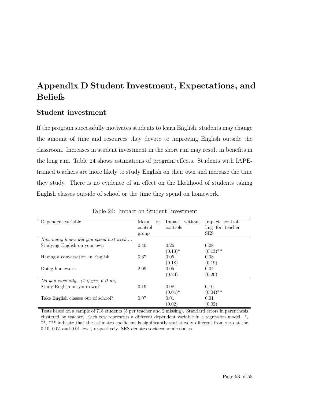## **Appendix D Student Investment, Expectations, and Beliefs**

#### **Student investment**

If the program successfully motivates students to learn English, students may change the amount of time and resources they devote to improving English outside the classroom. Increases in student investment in the short run may result in benefits in the long run. Table 24 shows estimations of program effects. Students with IAPEtrained teachers are more likely to study English on their own and increase the time they study. There is no evidence of an effect on the likelihood of students taking English classes outside of school or the time they spend on homework.

| Dependent variable                                     | Mean<br>on | Impact without | Impact<br>control- |  |
|--------------------------------------------------------|------------|----------------|--------------------|--|
|                                                        | control    | controls       | ling for teacher   |  |
|                                                        | group      |                | <b>SES</b>         |  |
| How many hours did you spend last week                 |            |                |                    |  |
| Studying English on your own                           | 0.40       | 0.26           | 0.28               |  |
|                                                        |            | $(0.13)^*$     | $(0.13)$ **        |  |
| Having a conversation in English                       | 0.37       | 0.05           | 0.08               |  |
|                                                        |            | (0.18)         | (0.19)             |  |
| Doing homework                                         | 2.09       | 0.05           | 0.04               |  |
|                                                        |            | (0.20)         | (0.20)             |  |
| Do you currently $(1 \text{ if yes}, 0 \text{ if no})$ |            |                |                    |  |
| Study English on your own?                             | 0.19       | 0.08           | 0.10               |  |
|                                                        |            | $(0.04)^*$     | $(0.04)$ **        |  |
| Take English classes out of school?                    | 0.07       | 0.01           | 0.01               |  |
|                                                        |            | (0.02)         | (0.02)             |  |

Table 24: Impact on Student Investment

Tests based on a sample of 718 students (5 per teacher and 2 missing). Standard errors in parenthesis clustered by teacher. Each row represents a different dependent variable in a regression model. \*, \*\*, \*\*\* indicate that the estimates coefficient is significantly statistically different from zero at the 0.10, 0.05 and 0.01 level, respectively. SES denotes socioeconomic status.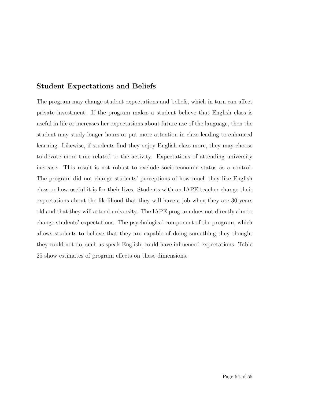#### **Student Expectations and Beliefs**

The program may change student expectations and beliefs, which in turn can affect private investment. If the program makes a student believe that English class is useful in life or increases her expectations about future use of the language, then the student may study longer hours or put more attention in class leading to enhanced learning. Likewise, if students find they enjoy English class more, they may choose to devote more time related to the activity. Expectations of attending university increase. This result is not robust to exclude socioeconomic status as a control. The program did not change students' perceptions of how much they like English class or how useful it is for their lives. Students with an IAPE teacher change their expectations about the likelihood that they will have a job when they are 30 years old and that they will attend university. The IAPE program does not directly aim to change students' expectations. The psychological component of the program, which allows students to believe that they are capable of doing something they thought they could not do, such as speak English, could have influenced expectations. Table 25 show estimates of program effects on these dimensions.